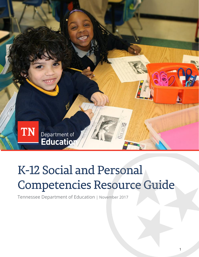

# K-12 Social and Personal Competencies Resource Guide

Tennessee Department of Education | November 2017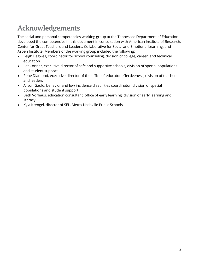# **Acknowledgements**

The social and personal competencies working group at the Tennessee Department of Education developed the competencies in this document in consultation with American Institute of Research, Center for Great Teachers and Leaders, Collaborative for Social and Emotional Learning, and Aspen Institute. Members of the working group included the following:

- Leigh Bagwell, coordinator for school counseling, division of college, career, and technical education
- Pat Conner, executive director of safe and supportive schools, division of special populations and student support
- Rene Diamond, executive director of the office of educator effectiveness, division of teachers and leaders
- Alison Gauld, behavior and low incidence disabilities coordinator, division of special populations and student support
- Beth Vorhaus, education consultant, office of early learning, division of early learning and literacy
- Kyla Krengel, director of SEL, Metro-Nashville Public Schools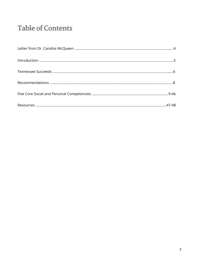# **Table of Contents**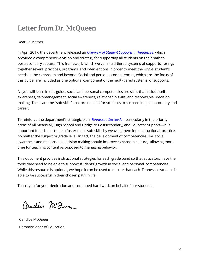# Letter from Dr. McQueen

#### Dear Educators,

In April 2017, the department released an *[Overview of Student Supports in Tennessee](https://www.tn.gov/content/dam/tn/education/reports/student_supports_overview.pdf)*, which provided a comprehensive vision and strategy for supporting all students on their path to postsecondary success. This framework, which we call multi-tiered systems of supports, brings together several practices, programs, and interventions in order to meet the *whole* student's needs in the classroom and beyond. Social and personal competencies, which are the focus of this guide, are included as one optional component of the multi-tiered systems of supports.

As you will learn in this guide, social and personal competencies are skills that include selfawareness, self-management, social awareness, relationship skills, and responsible decision making. These are the "soft skills" that are needed for students to succeed in postsecondary and career.

To reinforce the department's strategic plan, *[Tennessee Succeeds](https://www.tn.gov/content/dam/tn/education/documents/strategic_plan.pdf)—*particularly in the priority areas of All Means All*,* High School and Bridge to Postsecondary, and Educator Support*—*it is important for schools to help foster these soft skills by weaving them into instructional practice, no matter the subject or grade level. In fact, the development of competencies like social awareness and responsible decision making should improve classroom culture, allowing more time for teaching content as opposed to managing behavior.

This document provides instructional strategies for each grade band so that educators have the tools they need to be able to support students' growth in social and personal competencies. While this resource is optional, we hope it can be used to ensure that each Tennessee student is able to be successful in their chosen path in life.

Thank you for your dedication and continued hard work on behalf of our students.

Caudice M'Incom

Candice McQueen Commissioner of Education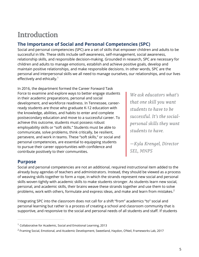# <span id="page-4-0"></span>**Introduction**

# **The Importance of Social and Personal Competencies (SPC)**

Social and personal competencies (SPC) are a set of skills that empower children and adults to be successful in life. These skills include self-awareness, self-management, social awareness, relationship skills, and responsible decision-making. Grounded in research, SPC are necessary for children and adults to manage emotions, establish and achieve positive goals, develop and maintain positive relationships, and make responsible decisions. In other words, SPC are the personal and interpersonal skills we all need to manage ourselves, our relationships, and our lives effectively and ethically.<sup>1</sup>

In 2016, the department formed the Career Forward Task Force to examine and explore ways to better engage students in their academic preparations, personal and social development, and workforce readiness. In Tennessee, careerready students are those who graduate K-12 education with the knowledge, abilities, and habits to enter and complete postsecondary education and move to a successful career. To achieve this outcome, students must possess robust employability skills or "soft skills." Students must be able to communicate, solve problems, think critically, be resilient, persevere, and work in teams. These "soft skills," or social and personal competencies, are essential to equipping students to pursue their career opportunities with confidence and contribute positively to their communities.

We ask educators what's that one skill you want students to have to be successful. It's the socialpersonal skills they want students to have.

—Kyla Krengel, Director<br>SEL, MNPS

# **Purpose**

Social and personal competencies are not an additional, required instructional item added to the already busy agendas of teachers and administrators. Instead, they should be viewed as a process of weaving skills together to form a rope, in which the strands represent new social and personal skills woven tightly with academic skills to make students stronger. As students learn new social, personal, and academic skills, their brains weave these strands together and use them to solve problems, work with others, formulate and express ideas, and make and learn from mistakes.<sup>2</sup>

Integrating SPC into the classroom does not call for a shift "from" academics "to" social and personal learning but rather is a process of creating a school and classroom community that is supportive, and responsive to the social and personal needs of all students and staff. If students

 $1$  Collaborative for Academic, Social and Emotional Learning, 2013

<sup>&</sup>lt;sup>2</sup> Framing Social, Emotional, and Academic Development, Sweetland, Haydon, O'Neil, Frameworks Lab, 2017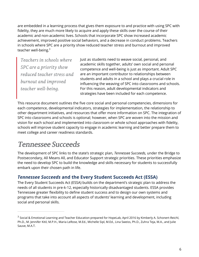are embedded in a learning process that gives them exposure to and practice with using SPC with fidelity, they are much more likely to acquire and apply these skills over the course of their academic and non-academic lives. Schools that incorporate SPC show increased academic achievement, improved positive social behaviors, and a decrease in conduct problems. Teachers in schools where SPC are a priority show reduced teacher stress and burnout and improved teacher well-being.<sup>3</sup>

Teachers in schools where SPC are a priority show<br>reduced teacher stress and<br>burnout and improved teacher well-being.

Just as students need to weave social, personal, and academic skills together, adults' own social and personal competence and well-being is just as important. Adult SPC are an important contributor to relationships between students and adults in a school and plays a crucial role in influencing the weaving of SPC into classrooms and schools. For this reason, adult developmental indicators and strategies have been included for each competence.

This resource document outlines the five core social and personal competencies, dimensions for each competence, developmental indicators, strategies for implementation, the relationship to other department initiatives, and resources that offer more information on SPC. The integration of SPC into classrooms and schools is optional; however, when SPC are woven into the mission and vision for each school and implemented into classroom or whole school approaches with fidelity, schools will improve student capacity to engage in academic learning and better prepare them to meet college and career readiness standards.

# <span id="page-5-0"></span>**Tennessee Succeeds**

The development of SPC links to the state's strategic plan, *Tennessee Succeeds,* under the Bridge to Postsecondary, All Means All, and Educator Support strategic priorities. These priorities emphasize the need to develop SPC to build the knowledge and skills necessary for students to successfully embark upon their chosen path in life.

# *Tennessee Succeeds* **and the Every Student Succeeds Act (ESSA)**

The Every Student Succeeds Act (ESSA) builds on the department's strategic plan to address the needs of all students in pre-k-12, especially historically disadvantaged students. ESSA provides Tennessee greater flexibility to define student success and to design our own systems and programs that take into account all aspects of students' learning and development, including social and personal skills.

 $^3$  Social & Emotional Learning and Teacher Education prepared for HopeLab, April 2016 by Kimberly A. Schonert-Reichl, Ph.D., M. Jennifer Kitil, M.P.H., Maria LeRose, M.Ed., Michelle Sipl, M.Ed., Lina Sweiss, Ph.D., Zuhra Teja, M.A., and Julie Sauve, M.A.T.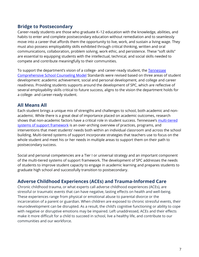# **Bridge to Postsecondary**

Career-ready students are those who graduate K–12 education with the knowledge, abilities, and habits to enter and complete postsecondary education without remediation and to seamlessly move into a career that affords them the opportunity to live, work, and sustain a living wage. They must also possess employability skills exhibited through critical thinking, written and oral communications, collaboration, problem solving, work ethic, and persistence. These "soft skills" are essential to equipping students with the intellectual, technical, and social skills needed to compete and contribute meaningfully to their communities.

To support the department's vision of a college- and career-ready student, the Tennessee [Comprehensive School Counseling Model](https://www.tn.gov/content/dam/tn/stateboardofeducation/documents/5.103_School_Counseling_Model__Standards_Policy_4-21-17.pdf) Standards were revised based on three areas of student development: academic achievement, social and personal development, and college and career readiness. Providing students supports around the development of SPC, which are reflective of several employability skills critical to future success, aligns to the vision the department holds for a college- and career-ready student.

### **All Means All**

Each student brings a unique mix of strengths and challenges to school, both academic and nonacademic. While there is a great deal of importance placed on academic outcomes, research shows that non-academic factors have a critical role in student success. Tennessee's [multi-tiered](https://www.tn.gov/content/dam/tn/education/reports/student_supports_overview.pdf)  [systems of support framework](https://www.tn.gov/content/dam/tn/education/reports/student_supports_overview.pdf) is an over-arching overview of practices, programs, and interventions that meet students' needs both within an individual classroom and across the school building. Multi-tiered systems of support incorporate strategies that teachers use to focus on the whole student and meet his or her needs in multiple areas to support them on their path to postsecondary success.

Social and personal competencies are a Tier I or universal strategy and an important component of the multi-tiered systems of support framework. The development of SPC addresses the needs of students to improve student capacity to engage in academic learning and prepares students to graduate high school and successfully transition to postsecondary.

### **Adverse Childhood Experiences (ACEs) and Trauma-Informed Care**

Chronic childhood trauma, or what experts call adverse childhood experiences (ACEs), are stressful or traumatic events that can have negative, lasting effects on health and well-being. These experiences range from physical or emotional abuse to parental divorce or the incarceration of a parent or guardian. When children are exposed to chronic stressful events, their neurodevelopment can be disrupted. As a result, the child's cognitive functioning or ability to cope with negative or disruptive emotions may be impaired. Left unaddressed, ACEs and their effects make it more difficult for a child to succeed in school, live a healthy life, and contribute to our communities and our workforce.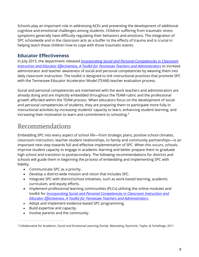Schools play an important role in addressing ACEs and preventing the development of additional cognitive and emotional challenges among students. Children suffering from traumatic stress symptoms generally have difficulty regulating their behaviors and emotions. The integration of SPC schoolwide and in the classroom acts as a buffer to the effects of trauma and is crucial in helping teach these children how to cope with those traumatic events.

### **Educator Effectiveness**

In July 2015, the department released *[Incorporating Social and Personal Competencies in Classroom](https://www.tn.gov/content/dam/tn/education/safety/safe_sch/safe_sch_se_toolkit.pdf)  [Instruction and Educator Effectiveness, A Toolkit for Tennessee Teachers and Administrators](https://www.tn.gov/content/dam/tn/education/safety/safe_sch/safe_sch_se_toolkit.pdf)* to increase administrator and teacher awareness of social and personal competencies by weaving them into daily classroom instruction. The toolkit is designed to link instructional practices that promote SPC with the Tennessee Educator Accelerator Model (TEAM) teacher evaluation process.

Social and personal competencies are intertwined with the work teachers and administrators are already doing and are implicitly embedded throughout the TEAM rubric and the professional growth afforded within the TEAM process. When educators focus on the development of social and personal competencies of students, they are preparing them to participate more fully in instructional activities by increasing students' capacity to learn, enhancing student learning, and increasing their motivation to learn and commitment to schooling.<sup>4</sup>

# <span id="page-7-0"></span>**Recommendations**

Embedding SPC into every aspect of school life—from strategic plans, positive school climates, classroom instruction, teacher-student relationships, to family and community partnerships—is an important next step towards full and effective implementation of SPC. When this occurs, schools improve student capacity to engage in academic learning and better prepare them to graduate high school and transition to postsecondary. The following recommendations for districts and schools will guide them in beginning the process of embedding and implementing SPC with fidelity.

- Communicate SPC as a priority.
- Develop a district-wide mission and vision that includes SPC.
- Integrate SPC with district/school initiatives, such as work-based learning, academic curriculum, and equity efforts.
- Implement professional learning communities (PLCs) utilizing the online modules and toolkit for *[Incorporating Social and Personal Competencies in Classroom Instruction and](https://www.tn.gov/education/student-support/student-supports-in-tn.html) Educator Effectiveness*, *[A Toolkit for Tennessee Teachers and Administrators.](https://www.tn.gov/education/student-support/student-supports-in-tn.html)*
- Adopt and implement evidence-based SPC programming.
- Build expertise and capacity.
- Involve parents and the community.

<sup>4</sup> Collaborative for Academic, Social and Emotional Learning Durlak, Weissberg, Dymnicki, Taylor, & Schellinge, 2011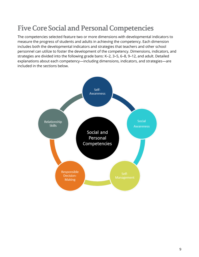# <span id="page-8-0"></span>**Five Core Social and Personal Competencies**

The competencies selected feature two or more dimensions with developmental indicators to measure the progress of students and adults in achieving the competency. Each dimension includes both the developmental indicators and strategies that teachers and other school personnel can utilize to foster the development of the competency. Dimensions, indicators, and strategies are divided into the following grade bans: K–2, 3–5, 6–8, 9–12, and adult. Detailed explanations about each competency—including dimensions, indicators, and strategies—are included in the sections below.

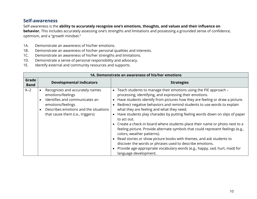#### **Self-awareness**

Self-awareness is the **ability to accurately recognize one's emotions, thoughts, and values and their influence on behavior.** This includes accurately assessing one's strengths and limitations and possessing a grounded sense of confidence, optimism, and a "growth mindset."

- 1A. Demonstrate an awareness of his/her emotions.
- 1B. Demonstrate an awareness of his/her personal qualities and interests.
- 1C. Demonstrate an awareness of his/her strengths and limitations.
- 1D. Demonstrate a sense of personal responsibility and advocacy.
- 1E. Identify external and community resources and supports.

|                      |                                                                                                                                                                                          | 1A. Demonstrate an awareness of his/her emotions                                                                                                                                                                                                                                                                                                                                                                                                                                                                                                                                                                                                                                                                                                                                                                                                                                 |
|----------------------|------------------------------------------------------------------------------------------------------------------------------------------------------------------------------------------|----------------------------------------------------------------------------------------------------------------------------------------------------------------------------------------------------------------------------------------------------------------------------------------------------------------------------------------------------------------------------------------------------------------------------------------------------------------------------------------------------------------------------------------------------------------------------------------------------------------------------------------------------------------------------------------------------------------------------------------------------------------------------------------------------------------------------------------------------------------------------------|
| Grade<br><b>Band</b> | <b>Developmental Indicators</b>                                                                                                                                                          | <b>Strategies</b>                                                                                                                                                                                                                                                                                                                                                                                                                                                                                                                                                                                                                                                                                                                                                                                                                                                                |
| $K-2$                | Recognizes and accurately names<br>emotions/feelings<br>Identifies and communicates an<br>emotions/feelings<br>Describes emotions and the situations<br>that cause them (i.e., triggers) | • Teach students to manage their emotions using the PIE approach -<br>processing, identifying, and expressing their emotions.<br>Have students identify from pictures how they are feeling or draw a picture.<br>Redirect negative behaviors and remind students to use words to explain<br>what they are feeling and what they need.<br>Have students play charades by putting feeling words down on slips of paper<br>to act out.<br>• Create a check-in board where students place their name or photo next to a<br>feeling picture. Provide alternate symbols that could represent feelings (e.g.,<br>colors, weather patterns).<br>• Read stories or show picture books with themes, and ask students to<br>discover the words or phrases used to describe emotions.<br>Provide age-appropriate vocabulary words (e.g., happy, sad, hurt, mad) for<br>language development. |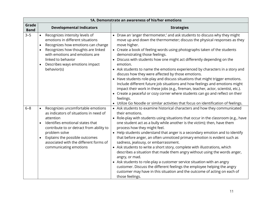|                      |                                     |                                                                                                                                                                                                                                                                                                 | 1A. Demonstrate an awareness of his/her emotions                                                                                                                                                                                                                                                                                                                                                                                                                                                                                                                                                                                                                                                                                                                                                                                                                                                                                                        |
|----------------------|-------------------------------------|-------------------------------------------------------------------------------------------------------------------------------------------------------------------------------------------------------------------------------------------------------------------------------------------------|---------------------------------------------------------------------------------------------------------------------------------------------------------------------------------------------------------------------------------------------------------------------------------------------------------------------------------------------------------------------------------------------------------------------------------------------------------------------------------------------------------------------------------------------------------------------------------------------------------------------------------------------------------------------------------------------------------------------------------------------------------------------------------------------------------------------------------------------------------------------------------------------------------------------------------------------------------|
| Grade<br><b>Band</b> |                                     | <b>Developmental Indicators</b>                                                                                                                                                                                                                                                                 | <b>Strategies</b>                                                                                                                                                                                                                                                                                                                                                                                                                                                                                                                                                                                                                                                                                                                                                                                                                                                                                                                                       |
| $3 - 5$              | $\bullet$<br>$\bullet$<br>$\bullet$ | Recognizes intensity levels of<br>emotions in different situations<br>Recognizes how emotions can change<br>Recognizes how thoughts are linked<br>with emotions and emotions are<br>linked to behavior<br>Describes ways emotions impact<br>behavior(s)                                         | • Draw an 'anger thermometer,' and ask students to discuss why they might<br>move up and down the thermometer; discuss the physical responses as they<br>move higher.<br>• Create a book of feeling words using photographs taken of the students<br>demonstrating those feelings.<br>• Discuss with students how one might act differently depending on the<br>emotion.<br>• Ask students to name the emotions experienced by characters in a story and<br>discuss how they were affected by those emotions.<br>• Have students role-play and discuss situations that might trigger emotions.<br>Include different future job situations and how feelings and emotions might<br>impact their work in these jobs (e.g., fireman, teacher, actor, scientist, etc.).<br>• Create a peaceful or cozy corner where students can go and reflect on their<br>feelings.<br>• Utilize Go Noodle or similar activities that focus on identification of feelings. |
| $6 - 8$              | $\bullet$                           | Recognizes uncomfortable emotions<br>as indicators of situations in need of<br>attention<br>Identifies emotional states that<br>contribute to or detract from ability to<br>problem solve<br>Explains the possible outcomes<br>associated with the different forms of<br>communicating emotions | • Ask students to examine historical characters and how they communicated<br>their emotions.<br>• Role-play with students using situations that occur in the classroom (e.g., have<br>one student act as a bully while another is the victim); then, have them<br>process how they might feel.<br>• Help students understand that anger is a secondary emotion and to identify<br>that before anger, an often unnoticed primary emotion is evident such as<br>sadness, jealousy, or embarrassment.<br>• Ask students to write a short story, complete with illustrations, which<br>describes a situation that made them angry without using the words anger,<br>angry, or mad.<br>• Ask students to role-play a customer service situation with an angry<br>customer. Discuss the different feelings the employee helping the angry<br>customer may have in this situation and the outcome of acting on each of<br>those feelings.                      |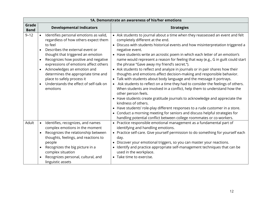|                      |                                                                                                       |                                                                                                                                                                                                                                                                                                                                                         | 1A. Demonstrate an awareness of his/her emotions                                                                                                                                                                                                                                                                                                                                                                                                                                                                                                                                                                                                                                                                                                                                                                                                                                                                                                                                                                                                                                                                                                                                                                    |
|----------------------|-------------------------------------------------------------------------------------------------------|---------------------------------------------------------------------------------------------------------------------------------------------------------------------------------------------------------------------------------------------------------------------------------------------------------------------------------------------------------|---------------------------------------------------------------------------------------------------------------------------------------------------------------------------------------------------------------------------------------------------------------------------------------------------------------------------------------------------------------------------------------------------------------------------------------------------------------------------------------------------------------------------------------------------------------------------------------------------------------------------------------------------------------------------------------------------------------------------------------------------------------------------------------------------------------------------------------------------------------------------------------------------------------------------------------------------------------------------------------------------------------------------------------------------------------------------------------------------------------------------------------------------------------------------------------------------------------------|
| Grade<br><b>Band</b> |                                                                                                       | <b>Developmental Indicators</b>                                                                                                                                                                                                                                                                                                                         | <b>Strategies</b>                                                                                                                                                                                                                                                                                                                                                                                                                                                                                                                                                                                                                                                                                                                                                                                                                                                                                                                                                                                                                                                                                                                                                                                                   |
| $9 - 12$             | to feel<br>$\bullet$<br>$\bullet$<br>$\bullet$<br>place to safely process it<br>$\bullet$<br>emotions | Identifies personal emotions as valid,<br>regardless of how others expect them<br>Describes the external event or<br>thought that triggered an emotion<br>Recognizes how positive and negative<br>expressions of emotions affect others<br>Acknowledges an emotion and<br>determines the appropriate time and<br>Understands the effect of self-talk on | • Ask students to journal about a time when they reassessed an event and felt<br>completely different at the end.<br>• Discuss with students historical events and how misinterpretation triggered a<br>negative event.<br>• Have students write an acrostic poem in which each letter of an emotion's<br>name would represent a reason for feeling that way (e.g., G in guilt could start<br>the phrase "Gave away my friend's secret.").<br>• Ask students to reflect and analyze in journals or in pair shares how their<br>thoughts and emotions affect decision-making and responsible behavior.<br>• Talk with students about body language and the message it portrays.<br>• Ask students to reflect on a time they had to consider the feelings of others.<br>When students are involved in a conflict, help them to understand how the<br>other person feels.<br>• Have students create gratitude journals to acknowledge and appreciate the<br>kindness of others.<br>• Have students' role-play different responses to a rude customer in a store.<br>• Conduct a morning meeting for seniors and discuss helpful strategies for<br>handling potential conflict between college roommates or co-workers. |
| Adult                | $\bullet$<br>people<br>$\bullet$<br>complex situation<br>linguistic assets                            | Identifies, recognizes, and names<br>complex emotions in the moment<br>Recognizes the relationship between<br>thoughts, feelings, and reactions to<br>Recognizes the big picture in a<br>Recognizes personal, cultural, and                                                                                                                             | • Practice responsible emotional management as a fundamental part of<br>identifying and handling emotions.<br>• Practice self-care. Give yourself permission to do something for yourself each<br>day.<br>• Discover your emotional triggers, so you can master your reactions.<br>• Identify and practice appropriate self-management techniques that can be<br>used in the workplace.<br>• Take time to exercise.                                                                                                                                                                                                                                                                                                                                                                                                                                                                                                                                                                                                                                                                                                                                                                                                 |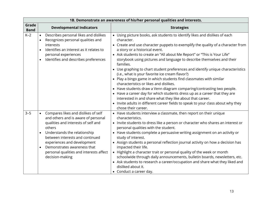|                      |                                     |                                                                                                                                                                                                                                                                                                                            | 1B. Demonstrate an awareness of his/her personal qualities and interests.                                                                                                                                                                                                                                                                                                                                                                                                                                                                                                                                                                                                                                                                                                                                                                                                                                                                                            |
|----------------------|-------------------------------------|----------------------------------------------------------------------------------------------------------------------------------------------------------------------------------------------------------------------------------------------------------------------------------------------------------------------------|----------------------------------------------------------------------------------------------------------------------------------------------------------------------------------------------------------------------------------------------------------------------------------------------------------------------------------------------------------------------------------------------------------------------------------------------------------------------------------------------------------------------------------------------------------------------------------------------------------------------------------------------------------------------------------------------------------------------------------------------------------------------------------------------------------------------------------------------------------------------------------------------------------------------------------------------------------------------|
| Grade<br><b>Band</b> |                                     | <b>Developmental Indicators</b>                                                                                                                                                                                                                                                                                            | <b>Strategies</b>                                                                                                                                                                                                                                                                                                                                                                                                                                                                                                                                                                                                                                                                                                                                                                                                                                                                                                                                                    |
| $K-2$                | $\bullet$<br>$\bullet$<br>$\bullet$ | Describes personal likes and dislikes<br>Recognizes personal qualities and<br>interests<br>Identifies an interest as it relates to<br>personal experiences<br>Identifies and describes preferences                                                                                                                         | • Using picture books, ask students to identify likes and dislikes of each<br>character.<br>• Create and use character puppets to exemplify the quality of a character from<br>a story or a historical event.<br>• Ask students to create an "All about Me Report" or "This is Your Life"<br>storybook using pictures and language to describe themselves and their<br>families.<br>• Use graphing to chart student preferences and identify unique characteristics<br>(i.e., what is your favorite ice cream flavor?)<br>• Play a bingo game in which students find classmates with similar<br>characteristics or likes and dislikes.<br>• Have students draw a Venn diagram comparing/contrasting two people.<br>• Have a career day for which students dress up as a career that they are<br>interested in and share what they like about that career.<br>• Invite adults in different career fields to speak to your class about why they<br>chose their career. |
| $3 - 5$              | $\bullet$<br>$\bullet$<br>$\bullet$ | Compares likes and dislikes of self<br>and others and is aware of personal<br>qualities and interests of self and<br>others<br>Understands the relationship<br>between interests and continued<br>experiences and development<br>Demonstrates awareness that<br>personal qualities and interests affect<br>decision-making | • Have students interview a classmate, then report on their unique<br>characteristics.<br>• Invite students to dress like a person or character who shares an interest or<br>personal qualities with the student.<br>• Have students complete a persuasive writing assignment on an activity or<br>study of interest.<br>• Assign students a personal reflection journal activity on how a decision has<br>impacted their life.<br>• Highlight a character trait or personal quality of the week or month<br>schoolwide through daily announcements, bulletin boards, newsletters, etc.<br>• Ask students to research a career/occupation and share what they liked and<br>disliked about it.<br>• Conduct a career day.                                                                                                                                                                                                                                             |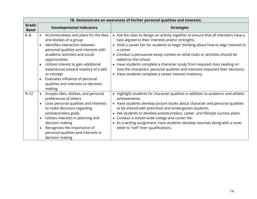|                      |                                                                                                                                                                                                                                                                                                                                                                                                                         | 1B. Demonstrate an awareness of his/her personal qualities and interests.                                                                                                                                                                                                                                                                                                                                                                                                                                                                                              |
|----------------------|-------------------------------------------------------------------------------------------------------------------------------------------------------------------------------------------------------------------------------------------------------------------------------------------------------------------------------------------------------------------------------------------------------------------------|------------------------------------------------------------------------------------------------------------------------------------------------------------------------------------------------------------------------------------------------------------------------------------------------------------------------------------------------------------------------------------------------------------------------------------------------------------------------------------------------------------------------------------------------------------------------|
| Grade<br><b>Band</b> | <b>Developmental Indicators</b>                                                                                                                                                                                                                                                                                                                                                                                         | <b>Strategies</b>                                                                                                                                                                                                                                                                                                                                                                                                                                                                                                                                                      |
| $6 - 8$              | Accommodates and plans for the likes<br>and dislikes of a group<br>Identifies interaction between<br>$\bullet$<br>personal qualities and interests with<br>academic activities and social<br>opportunities<br>Utilizes interest to gain additional<br>$\bullet$<br>experiences toward mastery of a skill<br>or concept<br>Evaluates influence of personal<br>$\bullet$<br>qualities and interests on decision<br>making | • Ask the class to design an activity together to ensure that all members have a<br>task aligned to their interests and/or strengths.<br>• Hold a career fair for students to begin thinking about how to align interest to<br>a career.<br>• Conduct a persuasive essay contest on what clubs or activities should be<br>added to the school.<br>• Have students complete a character study from required class reading on<br>how the characters' personal qualities and interests impacted their decisions.<br>• Have students complete a career interest inventory. |
| $9 - 12$             | Accepts likes, dislikes, and personal<br>preferences of others<br>Uses personal qualities and interests<br>$\bullet$<br>to make decisions regarding<br>postsecondary goals<br>Utilizes interests in planning and<br>decision making<br>Recognizes the importance of<br>personal qualities and interests in<br>decision making                                                                                           | • Highlight students for character qualities in addition to academic and athletic<br>achievements.<br>• Have students develop picture books about character and personal qualities<br>to be shared with preschool and kindergarten students.<br>• Ask students to develop postsecondary, career, and lifestyle success plans.<br>• Conduct a school-wide college and career fair.<br>• As a writing assignment, have students develop resumes along with a cover<br>letter to "sell" their qualifications.                                                             |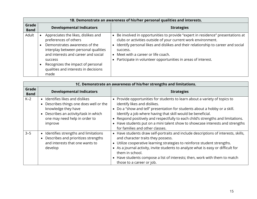|                      |                                                                                                                                                                                                                                                                                     | 1B. Demonstrate an awareness of his/her personal qualities and interests.                                                                                                                                                                                                                                                                            |
|----------------------|-------------------------------------------------------------------------------------------------------------------------------------------------------------------------------------------------------------------------------------------------------------------------------------|------------------------------------------------------------------------------------------------------------------------------------------------------------------------------------------------------------------------------------------------------------------------------------------------------------------------------------------------------|
| Grade<br><b>Band</b> | <b>Developmental Indicators</b>                                                                                                                                                                                                                                                     | <b>Strategies</b>                                                                                                                                                                                                                                                                                                                                    |
| Adult                | Appreciates the likes, dislikes and<br>preferences of others<br>Demonstrates awareness of the<br>interplay between personal qualities<br>and interests and career and social<br><b>SUCCESS</b><br>Recognizes the impact of personal<br>qualities and interests in decisions<br>made | Be involved in opportunities to provide "expert in residence" presentations at<br>clubs or activities outside of your current work environment.<br>Identify personal likes and dislikes and their relationship to career and social<br>success.<br>Meet with a career or life coach.<br>Participate in volunteer opportunities in areas of interest. |

|                      | 1C. Demonstrate an awareness of his/her strengths and limitations.                                                                                                                 |                                                                                                                                                                                                                                                                                                                                                                                                                                                                 |  |
|----------------------|------------------------------------------------------------------------------------------------------------------------------------------------------------------------------------|-----------------------------------------------------------------------------------------------------------------------------------------------------------------------------------------------------------------------------------------------------------------------------------------------------------------------------------------------------------------------------------------------------------------------------------------------------------------|--|
| Grade<br><b>Band</b> | <b>Developmental Indicators</b>                                                                                                                                                    | <b>Strategies</b>                                                                                                                                                                                                                                                                                                                                                                                                                                               |  |
| $K-2$                | • Identifies likes and dislikes<br>Describes things one does well or the<br>knowledge they have<br>Describes an activity/task in which<br>one may need help in order to<br>improve | • Provide opportunities for students to learn about a variety of topics to<br>identify likes and dislikes.<br>• Do a "show and tell" presentation for students about a hobby or a skill.<br>Identify a job where having that skill would be beneficial.<br>• Respond positively and respectfully to each child's strengths and limitations.<br>• Have students put on a mini talent show to showcase interests and strengths<br>for families and other classes. |  |
| $3 - 5$              | • Identifies strengths and limitations<br>Describes and prioritizes strengths<br>and interests that one wants to<br>develop                                                        | • Have students draw self-portraits and include descriptions of interests, skills,<br>and character traits they possess.<br>• Utilize cooperative learning strategies to reinforce student strengths.<br>• As a journal activity, invite students to analyze what is easy or difficult for<br>them in school.<br>• Have students compose a list of interests; then, work with them to match<br>those to a career or job.                                        |  |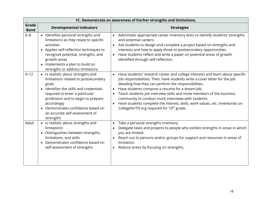|                      |                                                                                                                                                                                                                                                                                                          | 1C. Demonstrate an awareness of his/her strengths and limitations.                                                                                                                                                                                                                                                                                                                                                                                                                                                                                                          |
|----------------------|----------------------------------------------------------------------------------------------------------------------------------------------------------------------------------------------------------------------------------------------------------------------------------------------------------|-----------------------------------------------------------------------------------------------------------------------------------------------------------------------------------------------------------------------------------------------------------------------------------------------------------------------------------------------------------------------------------------------------------------------------------------------------------------------------------------------------------------------------------------------------------------------------|
| Grade<br><b>Band</b> | <b>Developmental Indicators</b>                                                                                                                                                                                                                                                                          | <b>Strategies</b>                                                                                                                                                                                                                                                                                                                                                                                                                                                                                                                                                           |
| $6 - 8$              | • Identifies personal strengths and<br>limitations as they relate to specific<br>activities<br>• Applies self-reflection techniques to<br>recognize potential, strengths, and<br>growth areas<br>• Implements a plan to build on<br>strengths or address limitations                                     | Administer appropriate career inventory tests to identify students' strengths<br>and potential careers.<br>Ask students to design and complete a project based on strengths and<br>interests and how to apply those to postsecondary opportunities.<br>Have students reflect and write a paper on potential areas of growth<br>identified through self-reflection.                                                                                                                                                                                                          |
| $9 - 12$             | • Is realistic about strengths and<br>limitations related to postsecondary<br>goals<br>• Identifies the skills and credentials<br>required to enter a particular<br>profession and to begin to prepare<br>accordingly<br>Demonstrates confidence based on<br>an accurate self-assessment of<br>strengths | Have students' research career and college interests and learn about specific<br>$\bullet$<br>job responsibilities. Then, have students write a cover letter for the job<br>detailing how they can perform the responsibilities.<br>Have students compose a resume for a dream job.<br>Teach students job interview skills and invite members of the business<br>community to conduct mock interviews with students.<br>Have students complete the interest, skills, work values, etc. inventories on<br>$\bullet$<br>CollegeforTN.org required for 10 <sup>th</sup> grade. |
| Adult                | • Is realistic about strengths and<br>limitations<br>• Distinguishes between strengths,<br>limitations, and skills<br>• Demonstrates confidence based on<br>self-assessment of strengths                                                                                                                 | Take a personal strengths inventory.<br>$\bullet$<br>Delegate tasks and projects to people who exhibit strengths in areas in which<br>you are limited.<br>Reach out to persons and/or groups for support and resources in areas of<br>limitation.<br>Reduce stress by focusing on strengths.<br>$\bullet$                                                                                                                                                                                                                                                                   |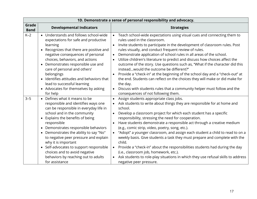|                      |                                                                                                                                                                                                                                                                                                                                                                                                                                                                                                               | 1D. Demonstrate a sense of personal responsibility and advocacy.                                                                                                                                                                                                                                                                                                                                                                                                                                                                                                                                                                                                                                                                                                                                                                            |
|----------------------|---------------------------------------------------------------------------------------------------------------------------------------------------------------------------------------------------------------------------------------------------------------------------------------------------------------------------------------------------------------------------------------------------------------------------------------------------------------------------------------------------------------|---------------------------------------------------------------------------------------------------------------------------------------------------------------------------------------------------------------------------------------------------------------------------------------------------------------------------------------------------------------------------------------------------------------------------------------------------------------------------------------------------------------------------------------------------------------------------------------------------------------------------------------------------------------------------------------------------------------------------------------------------------------------------------------------------------------------------------------------|
| Grade<br><b>Band</b> | <b>Developmental Indicators</b>                                                                                                                                                                                                                                                                                                                                                                                                                                                                               | <b>Strategies</b>                                                                                                                                                                                                                                                                                                                                                                                                                                                                                                                                                                                                                                                                                                                                                                                                                           |
| $K-2$                | • Understands and follows school-wide<br>expectations for safe and productive<br>learning<br>• Recognizes that there are positive and<br>negative consequences of personal<br>choices, behaviors, and actions<br>Demonstrates responsible use and<br>$\bullet$<br>care of personal and others'<br>belongings<br>Identifies attitudes and behaviors that<br>lead to successful learning                                                                                                                        | Teach school-wide expectations using visual cues and connecting them to<br>rules used in the classroom.<br>Invite students to participate in the development of classroom rules. Post<br>$\bullet$<br>rules visually, and conduct frequent review of rules.<br>Demonstrate application of school rules in all areas of the school.<br>$\bullet$<br>Utilize children's literature to predict and discuss how choices affect the<br>$\bullet$<br>outcome of the story. Use questions such as, "What if the character did this<br>insteadwould the outcome be different?"<br>Provide a "check-in" at the beginning of the school day and a "check-out" at<br>the end. Students can reflect on the choices they will make or did make for<br>the day.                                                                                           |
|                      | • Advocates for themselves by asking<br>for help                                                                                                                                                                                                                                                                                                                                                                                                                                                              | Discuss with students rules that a community helper must follow and the<br>$\bullet$<br>consequences of not following them.                                                                                                                                                                                                                                                                                                                                                                                                                                                                                                                                                                                                                                                                                                                 |
| $3 - 5$              | • Defines what it means to be<br>responsible and identifies ways one<br>can be responsible in everyday life in<br>school and in the community<br>Explains the benefits of being<br>$\bullet$<br>responsible<br>Demonstrates responsible behaviors<br>$\bullet$<br>• Demonstrates the ability to say "No"<br>to negative peer pressure and explain<br>why it is important<br>• Self-advocates to support responsible<br>choices and to avoid negative<br>behaviors by reaching out to adults<br>for assistance | Assign students appropriate class jobs.<br>Ask students to write about things they are responsible for at home and<br>school.<br>Develop a classroom project for which each student has a specific<br>$\bullet$<br>responsibility, stressing the need for cooperation.<br>Have students demonstrate a responsible act through a creative medium<br>$\bullet$<br>(e.g., comic strip, video, poetry, song, etc.).<br>"Adopt" a younger classroom, and assign each student a child to read to on a<br>$\bullet$<br>weekly basis. Give students a task they must prepare and complete with the<br>child.<br>Provide a "check-in" about the responsibilities students had during the day<br>$\bullet$<br>(i.e., classroom job, homework, etc.).<br>Ask students to role-play situations in which they use refusal skills to address<br>$\bullet$ |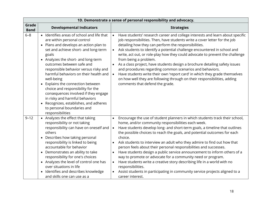|                      |                                                                                                                                                                                                                                                                                                                                                                                                                                                                                                                                                                                                     | 1D. Demonstrate a sense of personal responsibility and advocacy.                                                                                                                                                                                                                                                                                                                                                                                                                                                                                                                                                                                                                                                                                                                                                                                                      |
|----------------------|-----------------------------------------------------------------------------------------------------------------------------------------------------------------------------------------------------------------------------------------------------------------------------------------------------------------------------------------------------------------------------------------------------------------------------------------------------------------------------------------------------------------------------------------------------------------------------------------------------|-----------------------------------------------------------------------------------------------------------------------------------------------------------------------------------------------------------------------------------------------------------------------------------------------------------------------------------------------------------------------------------------------------------------------------------------------------------------------------------------------------------------------------------------------------------------------------------------------------------------------------------------------------------------------------------------------------------------------------------------------------------------------------------------------------------------------------------------------------------------------|
| Grade<br><b>Band</b> | <b>Developmental Indicators</b>                                                                                                                                                                                                                                                                                                                                                                                                                                                                                                                                                                     | <b>Strategies</b>                                                                                                                                                                                                                                                                                                                                                                                                                                                                                                                                                                                                                                                                                                                                                                                                                                                     |
| $6 - 8$              | • Identifies areas of school and life that<br>are within personal control<br>• Plans and develops an action plan to<br>set and achieve short- and long-term<br>goals<br>• Analyzes the short- and long-term<br>outcomes between safe and<br>responsible behavior versus risky and<br>harmful behaviors on their health and<br>well-being<br>• Explains the connection between<br>choice and responsibility for the<br>consequences involved if they engage<br>in risky and harmful behaviors<br>Recognizes, establishes, and adheres<br>$\bullet$<br>to personal boundaries and<br>responsibilities | Have students' research career and college interests and learn about specific<br>$\bullet$<br>job responsibilities. Then, have students write a cover letter for the job<br>detailing how they can perform the responsibilities.<br>Ask students to identify a potential challenge encountered in school and<br>write, act out, or role-play how they could advocate to prevent the challenge<br>from being a problem.<br>As a class project, have students design a brochure detailing safety issues<br>and procedures regarding common scenarios and behaviors.<br>Have students write their own 'report card' in which they grade themselves<br>$\bullet$<br>on how well they are following through on their responsibilities, adding<br>comments that defend the grade.                                                                                           |
| $9 - 12$             | • Analyzes the effect that taking<br>responsibility or not taking<br>responsibility can have on oneself and<br>others<br>Describes how taking personal<br>$\bullet$<br>responsibility is linked to being<br>accountable for behavior<br>• Demonstrates an ability to take<br>responsibility for one's choices<br>• Analyzes the level of control one has<br>over situations in life<br>Identifies and describes knowledge<br>$\bullet$<br>and skills one can use as a                                                                                                                               | Encourage the use of student planners in which students track their school,<br>$\bullet$<br>home, and/or community responsibilities each week.<br>Have students develop long- and short-term goals, a timeline that outlines<br>$\bullet$<br>the possible choices to reach the goals, and potential outcomes for each<br>choice.<br>Ask students to interview an adult who they admire to find out how that<br>person feels about their personal responsibilities and successes.<br>Have students design a public service announcement to inform others of a<br>$\bullet$<br>way to promote or advocate for a community need or program.<br>Have students write a creative story describing life in a world with no<br>$\bullet$<br>responsibilities.<br>Assist students in participating in community service projects aligned to a<br>$\bullet$<br>career interest. |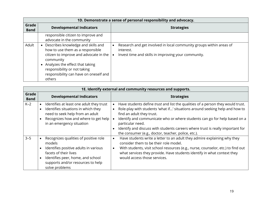|                      | 1D. Demonstrate a sense of personal responsibility and advocacy.                                                                                                                                                                                     |                                                                                                                                         |  |
|----------------------|------------------------------------------------------------------------------------------------------------------------------------------------------------------------------------------------------------------------------------------------------|-----------------------------------------------------------------------------------------------------------------------------------------|--|
| Grade<br><b>Band</b> | <b>Developmental Indicators</b>                                                                                                                                                                                                                      | <b>Strategies</b>                                                                                                                       |  |
|                      | responsible citizen to improve and<br>advocate in the community                                                                                                                                                                                      |                                                                                                                                         |  |
| Adult                | Describes knowledge and skills and<br>how to use them as a responsible<br>citizen to improve and advocate in the<br>community<br>Analyzes the effect that taking<br>responsibility or not taking<br>responsibility can have on oneself and<br>others | Research and get involved in local community groups within areas of<br>interest.<br>Invest time and skills in improving your community. |  |

|                      | 1E. Identify external and community resources and supports.                                                                                                                                                   |                                                                                                                                                                                                                                                                                                                                                                                                                                       |  |  |  |
|----------------------|---------------------------------------------------------------------------------------------------------------------------------------------------------------------------------------------------------------|---------------------------------------------------------------------------------------------------------------------------------------------------------------------------------------------------------------------------------------------------------------------------------------------------------------------------------------------------------------------------------------------------------------------------------------|--|--|--|
| Grade<br><b>Band</b> | <b>Developmental Indicators</b>                                                                                                                                                                               | <b>Strategies</b>                                                                                                                                                                                                                                                                                                                                                                                                                     |  |  |  |
| $K-2$                | Identifies at least one adult they trust<br>Identifies situations in which they<br>need to seek help from an adult<br>Recognizes how and where to get help<br>in an emergency situation                       | Have students define trust and list the qualities of a person they would trust.<br>Role-play with students 'what if' situations around seeking help and how to<br>find an adult they trust.<br>Identify and communicate who or where students can go for help based on a<br>particular need.<br>Identify and discuss with students careers where trust is really important for<br>the consumer (e.g., doctor, teacher, police, etc.). |  |  |  |
| $3 - 5$              | Recognizes qualities of positive role<br>models<br>Identifies positive adults in various<br>facets of their lives<br>Identifies peer, home, and school<br>supports and/or resources to help<br>solve problems | Have students write a letter to an adult they admire explaining why they<br>$\bullet$<br>consider them to be their role model.<br>With students, visit school resources (e.g., nurse, counselor, etc.) to find out<br>$\bullet$<br>what services they provide. Have students identify in what context they<br>would access those services.                                                                                            |  |  |  |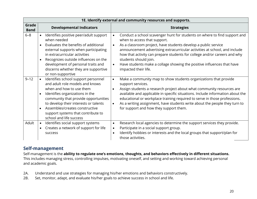|                      | 1E. Identify external and community resources and supports.                                                                                                                                                                                                                                  |                                                                                                                                                                                                                                                                                                                                                                                                                                                                                                          |  |  |
|----------------------|----------------------------------------------------------------------------------------------------------------------------------------------------------------------------------------------------------------------------------------------------------------------------------------------|----------------------------------------------------------------------------------------------------------------------------------------------------------------------------------------------------------------------------------------------------------------------------------------------------------------------------------------------------------------------------------------------------------------------------------------------------------------------------------------------------------|--|--|
| Grade<br><b>Band</b> | <b>Developmental Indicators</b>                                                                                                                                                                                                                                                              | <b>Strategies</b>                                                                                                                                                                                                                                                                                                                                                                                                                                                                                        |  |  |
| $6 - 8$              | Identifies positive peer/adult support<br>when needed<br>Evaluates the benefits of additional<br>external supports when participating<br>in extracurricular activities<br>Recognizes outside influences on the<br>development of personal traits and<br>discerns whether they are supportive | Conduct a school scavenger hunt for students on where to find support and<br>$\bullet$<br>when to access that support.<br>As a classroom project, have students develop a public service<br>$\bullet$<br>announcement advertising extracurricular activities at school, and include<br>how that activity can prepare students for college and/or careers and why<br>students should join.<br>Have students make a collage showing the positive influences that have<br>$\bullet$<br>impacted their life. |  |  |
| $9 - 12$             | or non-supportive<br>Identifies school support personnel<br>and adult role models and knows<br>when and how to use them<br>Identifies organizations in the<br>community that provide opportunities<br>to develop their interests or talents<br>Assembles/creates constructive                | Make a community map to show students organizations that provide<br>$\bullet$<br>support services.<br>Assign students a research project about what community resources are<br>$\bullet$<br>available and applicable in specific situations. Include information about the<br>educational or workplace training required to serve in those professions.<br>As a writing assignment, have students write about the people they turn to<br>$\bullet$<br>for support and how they support them.             |  |  |
| Adult                | support systems that contribute to<br>school and life success<br>Identifies social support systems<br>$\bullet$<br>Creates a network of support for life<br>$\bullet$<br><b>SUCCESS</b>                                                                                                      | Research local agencies to determine the support services they provide.<br>$\bullet$<br>Participate in a social support group.<br>$\bullet$<br>Identify hobbies or interests and the local groups that support/plan for<br>$\bullet$<br>those activities.                                                                                                                                                                                                                                                |  |  |

### **Self-management**

Self-management is the **ability to regulate one's emotions, thoughts, and behaviors effectively in different situations.**  This includes managing stress, controlling impulses, motivating oneself, and setting and working toward achieving personal and academic goals.

- 2A. Understand and use strategies for managing his/her emotions and behaviors constructively.
- 2B. Set, monitor, adapt, and evaluate his/her goals to achieve success in school and life.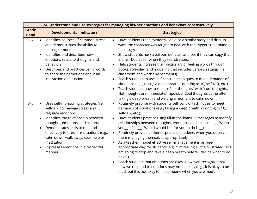|                             |                                                                                                                                                                                                                                                                                                                                                                                                                  | 2A. Understand and use strategies for managing his/her emotions and behaviors constructively.                                                                                                                                                                                                                                                                                                                                                                                                                                                                                                                                                                                                                                                                                                                                                                                                                                                  |
|-----------------------------|------------------------------------------------------------------------------------------------------------------------------------------------------------------------------------------------------------------------------------------------------------------------------------------------------------------------------------------------------------------------------------------------------------------|------------------------------------------------------------------------------------------------------------------------------------------------------------------------------------------------------------------------------------------------------------------------------------------------------------------------------------------------------------------------------------------------------------------------------------------------------------------------------------------------------------------------------------------------------------------------------------------------------------------------------------------------------------------------------------------------------------------------------------------------------------------------------------------------------------------------------------------------------------------------------------------------------------------------------------------------|
| <b>Grade</b><br><b>Band</b> | <b>Developmental Indicators</b>                                                                                                                                                                                                                                                                                                                                                                                  | <b>Strategies</b>                                                                                                                                                                                                                                                                                                                                                                                                                                                                                                                                                                                                                                                                                                                                                                                                                                                                                                                              |
| $K-2$                       | Identifies sources of common stress<br>$\bullet$<br>and demonstrates the ability to<br>manage emotions<br>Identifies and describes how<br>$\bullet$<br>emotions relate to thoughts and<br>behaviors<br>Describes and practices using words<br>to share their emotions about an<br>interaction or situation                                                                                                       | Have students read "Simon's Hook" or a similar story and discuss<br>$\bullet$<br>ways the character was taught to deal with the triggers that made<br>him angry.<br>Show students how a balloon deflates, and see if they can copy that<br>in their bodies for when they feel stressed.<br>Help students increase their dictionary of feeling words through<br>$\bullet$<br>books, role-play, and modeling that includes various settings (i.e.,<br>classroom and work environments).<br>Teach students to use self-control techniques to meet demands of<br>situations (e.g., taking a deep breath, counting to 10, self-talk, etc.).<br>Teach students how to replace "hot thoughts" with "cool thoughts."<br>Hot thoughts are immediate/impulsive. Cool thoughts come after<br>taking a deep breath and waiting a moment to calm down.                                                                                                      |
| $3 - 5$                     | Uses self-monitoring strategies (i.e.,<br>$\bullet$<br>self-talk) to manage stress and<br>regulate emotions<br>Identifies the relationship between<br>$\bullet$<br>thoughts, emotions, and actions<br>Demonstrates skills to respond<br>$\bullet$<br>effectively to pressure situations (e.g.,<br>calm down, walk away, seek help or<br>meditation)<br>Expresses emotions in a respectful<br>$\bullet$<br>manner | Routinely practice with students self-control techniques to meet<br>$\bullet$<br>demands of situations (e.g., taking a deep breath, counting to 10,<br>self-talk, etc.).<br>Have students practice using fill-in-the-blank "I" messages to identify<br>relationships between thoughts, emotions, and actions (e.g., When<br>you_, I feel__. What I would like for you to do is _).<br>Routinely provide authentic praise to students when you observe<br>$\bullet$<br>them managing themselves appropriately.<br>As a teacher, model effective self-management in an age-<br>appropriate way for students (e.g., "I'm feeling a little frustrated, so I<br>am going to stop and take a deep breath before I decide what to do<br>next.").<br>Teach students that emotions are okay. However, recognize that<br>how we respond to emotions may not be okay (e.g., It is okay to be<br>mad, but it is not okay to hit someone when you are mad). |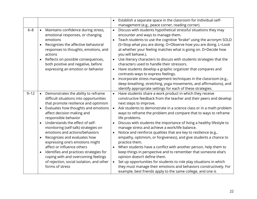|          |                                                                                                                                                                                                                                                                                                                                                                                                                                                                                                                                                                                                               | $\bullet$                                        | Establish a separate space in the classroom for individual self-                                                                                                                                                                                                                                                                                                                                                                                                                                                                                                                                                                                                                                                                                                                                                                                                                                                                                                                          |
|----------|---------------------------------------------------------------------------------------------------------------------------------------------------------------------------------------------------------------------------------------------------------------------------------------------------------------------------------------------------------------------------------------------------------------------------------------------------------------------------------------------------------------------------------------------------------------------------------------------------------------|--------------------------------------------------|-------------------------------------------------------------------------------------------------------------------------------------------------------------------------------------------------------------------------------------------------------------------------------------------------------------------------------------------------------------------------------------------------------------------------------------------------------------------------------------------------------------------------------------------------------------------------------------------------------------------------------------------------------------------------------------------------------------------------------------------------------------------------------------------------------------------------------------------------------------------------------------------------------------------------------------------------------------------------------------------|
|          |                                                                                                                                                                                                                                                                                                                                                                                                                                                                                                                                                                                                               |                                                  | management (e.g., peace corner, reading corner).                                                                                                                                                                                                                                                                                                                                                                                                                                                                                                                                                                                                                                                                                                                                                                                                                                                                                                                                          |
| $6 - 8$  | Maintains confidence during stress,<br>$\bullet$<br>emotional responses, or changing<br>emotions<br>Recognizes the affective behavioral<br>responses to thoughts, emotions, and<br>actions<br>Reflects on possible consequences,<br>both positive and negative, before<br>expressing an emotion or behavior                                                                                                                                                                                                                                                                                                   | $\bullet$<br>$\bullet$<br>$\bullet$              | Discuss with students hypothetical stressful situations they may<br>encounter and ways to manage them.<br>Teach students to use the cognitive "brake" using the acronym SOLD<br>(S=Stop what you are doing. O=Observe how you are doing. L=Look<br>at whether your feeling matches what is going on. D=Decide how<br>you will behave.).<br>Use literary characters to discuss with students strategies that the<br>characters used to handle their stressors.<br>Have students develop a graphic organizer that compares and<br>contrasts ways to express feelings.<br>Incorporate stress management techniques in the classroom (e.g.,                                                                                                                                                                                                                                                                                                                                                   |
|          |                                                                                                                                                                                                                                                                                                                                                                                                                                                                                                                                                                                                               |                                                  | deep breathing, stretching, yoga movements, and affirmations), and<br>identify appropriate settings for each of these strategies.                                                                                                                                                                                                                                                                                                                                                                                                                                                                                                                                                                                                                                                                                                                                                                                                                                                         |
| $9 - 12$ | Demonstrates the ability to reframe<br>$\bullet$<br>difficult situations into opportunities<br>that promote resilience and optimism<br>Evaluates how thoughts and emotions<br>affect decision making and<br>responsible behavior<br>Understands the effect of self-<br>monitoring (self-talk) strategies on<br>emotions and actions/behaviors<br>Recognizes and evaluates how<br>$\bullet$<br>expressing one's emotions might<br>affect or influence others<br>Identifies and practices strategies for<br>coping with and overcoming feelings<br>of rejection, social isolation, and other<br>forms of stress | $\bullet$<br>$\bullet$<br>$\bullet$<br>$\bullet$ | Have students share a work product in which they receive<br>constructive feedback from the teacher and their peers and develop<br>next steps to improve.<br>Ask students to demonstrate in a science class or in a math problem<br>ways to reframe the problem and compare that to ways to reframe<br>life problems.<br>Discuss with students the importance of living a healthy lifestyle to<br>manage stress and achieve a work/life balance.<br>Notice and reinforce qualities that are key to resilience (e.g.,<br>empathy, optimism, or forgiveness), and give students a chance to<br>practice them.<br>When students have a conflict with another person, help them to<br>keep things in perspective and to remember that someone else's<br>opinion doesn't define them.<br>Set up opportunities for students to role play situations in which<br>they must manage their emotions and behaviors constructively. For<br>example, best friends apply to the same college, and one is |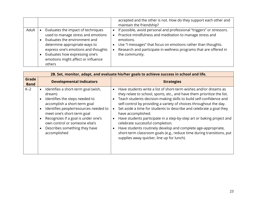|       |                                                                                                                                                                                                                                                                     | accepted and the other is not. How do they support each other and<br>maintain the friendship?                                                                                                                                                                                                          |
|-------|---------------------------------------------------------------------------------------------------------------------------------------------------------------------------------------------------------------------------------------------------------------------|--------------------------------------------------------------------------------------------------------------------------------------------------------------------------------------------------------------------------------------------------------------------------------------------------------|
| Adult | Evaluates the impact of techniques<br>used to manage stress and emotions<br>Evaluates the environment and<br>determine appropriate ways to<br>express one's emotions and thoughts<br>Evaluates how expressing one's<br>emotions might affect or influence<br>others | If possible, avoid personal and professional "triggers" or stressors.<br>Practice mindfulness and meditation to manage stress and<br>emotions.<br>Use "I messages" that focus on emotions rather than thoughts.<br>Research and participate in wellness programs that are offered in<br>the community. |

|                      | 2B. Set, monitor, adapt, and evaluate his/her goals to achieve success in school and life.                                                                                                                                                                                                                      |                                                                                                                                                                                                                                                                                                                                                                                                                                                                                                                                                                                                                                                                                                        |  |
|----------------------|-----------------------------------------------------------------------------------------------------------------------------------------------------------------------------------------------------------------------------------------------------------------------------------------------------------------|--------------------------------------------------------------------------------------------------------------------------------------------------------------------------------------------------------------------------------------------------------------------------------------------------------------------------------------------------------------------------------------------------------------------------------------------------------------------------------------------------------------------------------------------------------------------------------------------------------------------------------------------------------------------------------------------------------|--|
| Grade<br><b>Band</b> | <b>Developmental Indicators</b>                                                                                                                                                                                                                                                                                 | <b>Strategies</b>                                                                                                                                                                                                                                                                                                                                                                                                                                                                                                                                                                                                                                                                                      |  |
| $K-2$                | Identifies a short-term goal (wish,<br>dream)<br>Identifies the steps needed to<br>accomplish a short-term goal<br>Identifies people/resources needed to<br>meet one's short-term goal<br>Recognizes if a goal is under one's<br>own control or someone else's<br>Describes something they have<br>accomplished | Have students write a list of short-term wishes and/or dreams as<br>they relate to school, sports, etc., and have them prioritize the list.<br>Teach students decision-making skills to build self-confidence and<br>self-control by providing a variety of choices throughout the day.<br>Set aside a time for students to describe and celebrate a goal they<br>have accomplished.<br>Have students participate in a step-by-step art or baking project and<br>$\bullet$<br>celebrate successful completion.<br>Have students routinely develop and complete age-appropriate,<br>short-term classroom goals (e.g., reduce time during transitions, put<br>supplies away quicker, line up for lunch). |  |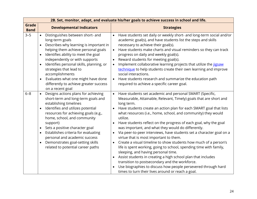| 2B. Set, monitor, adapt, and evaluate his/her goals to achieve success in school and life. |                                                                                                                                                                                                                                                                                                                                                                                                                                                                 |                                                               |                                                                                                                                                                                                                                                                                                                                                                                                                                                                                                                                                                                                                                                                                                                                                                                                                                                                                                                                                                      |  |
|--------------------------------------------------------------------------------------------|-----------------------------------------------------------------------------------------------------------------------------------------------------------------------------------------------------------------------------------------------------------------------------------------------------------------------------------------------------------------------------------------------------------------------------------------------------------------|---------------------------------------------------------------|----------------------------------------------------------------------------------------------------------------------------------------------------------------------------------------------------------------------------------------------------------------------------------------------------------------------------------------------------------------------------------------------------------------------------------------------------------------------------------------------------------------------------------------------------------------------------------------------------------------------------------------------------------------------------------------------------------------------------------------------------------------------------------------------------------------------------------------------------------------------------------------------------------------------------------------------------------------------|--|
| <b>Grade</b><br><b>Band</b>                                                                | <b>Developmental Indicators</b>                                                                                                                                                                                                                                                                                                                                                                                                                                 |                                                               | <b>Strategies</b>                                                                                                                                                                                                                                                                                                                                                                                                                                                                                                                                                                                                                                                                                                                                                                                                                                                                                                                                                    |  |
| $3 - 5$                                                                                    | Distinguishes between short- and<br>$\bullet$<br>long-term goals<br>Describes why learning is important in<br>helping them achieve personal goals<br>Identifies ability to meet the goal<br>$\bullet$<br>independently or with supports<br>Identifies personal skills, planning, or<br>$\bullet$<br>strategies that lead to<br>accomplishments<br>Evaluates what one might have done<br>$\bullet$<br>differently to achieve greater success<br>on a recent goal | $\bullet$<br>$\bullet$<br>$\bullet$<br>$\bullet$<br>$\bullet$ | Have students set daily or weekly short- and long-term social and/or<br>academic goal(s), and have students list the steps and skills<br>necessary to achieve their goal(s).<br>Have students make charts and visual reminders so they can track<br>progress on daily and weekly goal(s).<br>Reward students for meeting goal(s).<br>Implement collaborative learning projects that utilize the jigsaw<br>technique to help students create their own learning and improve<br>social interactions.<br>Have students research and summarize the education path<br>required to achieve a specific career goal.                                                                                                                                                                                                                                                                                                                                                         |  |
| $6 - 8$                                                                                    | Designs actions plans for achieving<br>$\bullet$<br>short-term and long-term goals and<br>establishing timelines<br>Identifies and utilizes potential<br>resources for achieving goals (e.g.,<br>home, school, and community<br>support)<br>Sets a positive character goal<br>Establishes criteria for evaluating<br>personal and academic success<br>Demonstrates goal-setting skills<br>$\bullet$<br>related to potential career paths                        | $\bullet$<br>$\bullet$                                        | Have students set academic and personal SMART (Specific,<br>Measurable, Attainable, Relevant, Timely) goals that are short and<br>long term.<br>Have students create an action plan for each SMART goal that lists<br>what resources (i.e., home, school, and community) they would<br>utilize.<br>Have students reflect on the progress of each goal, why the goal<br>was important, and what they would do differently.<br>Via peer-to-peer interviews, have students set a character goal on a<br>virtue that is most important to them.<br>Create a visual timeline to show students how much of a person's<br>life is spent working, going to school, spending time with family,<br>sleeping, and having personal time.<br>Assist students in creating a high school plan that includes<br>transition to postsecondary and the workforce.<br>Use biographies to discuss how people persevered through hard<br>times to turn their lives around or reach a goal. |  |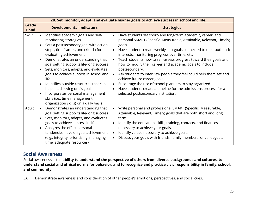|                      |                                                                                                                                                                                                                                                                                                                                                                                                                                                                                                                                                                                   | 2B. Set, monitor, adapt, and evaluate his/her goals to achieve success in school and life.                                                                                                                                                                                                                                                                                                                                                                                                                                                                                                                                                                                                                                                               |
|----------------------|-----------------------------------------------------------------------------------------------------------------------------------------------------------------------------------------------------------------------------------------------------------------------------------------------------------------------------------------------------------------------------------------------------------------------------------------------------------------------------------------------------------------------------------------------------------------------------------|----------------------------------------------------------------------------------------------------------------------------------------------------------------------------------------------------------------------------------------------------------------------------------------------------------------------------------------------------------------------------------------------------------------------------------------------------------------------------------------------------------------------------------------------------------------------------------------------------------------------------------------------------------------------------------------------------------------------------------------------------------|
| Grade<br><b>Band</b> | <b>Developmental Indicators</b>                                                                                                                                                                                                                                                                                                                                                                                                                                                                                                                                                   | <b>Strategies</b>                                                                                                                                                                                                                                                                                                                                                                                                                                                                                                                                                                                                                                                                                                                                        |
| $9 - 12$             | Identifies academic goals and self-<br>$\bullet$<br>monitoring strategies<br>Sets a postsecondary goal with action<br>steps, timeframes, and criteria for<br>evaluating achievement<br>Demonstrates an understanding that<br>$\bullet$<br>goal setting supports life-long success<br>Sets, monitors, adapts, and evaluates<br>$\bullet$<br>goals to achieve success in school and<br>life<br>Identifies outside resources that can<br>help in achieving one's goal<br>Incorporates personal management<br>skills (i.e., time management,<br>organization skills) on a daily basis | Have students set short- and long-term academic, career, and<br>$\bullet$<br>personal SMART (Specific, Measurable, Attainable, Relevant, Timely)<br>goals.<br>Have students create weekly sub-goals connected to their authentic<br>$\bullet$<br>interests, monitoring progress over time, etc.<br>Teach students how to self-assess progress toward their goals and<br>$\bullet$<br>how to modify their career and academic goals to include<br>postsecondary.<br>Ask students to interview people they feel could help them set and<br>$\bullet$<br>achieve future career goals.<br>Encourage the use of school planners to stay organized.<br>Have students create a timeline for the admissions process for a<br>selected postsecondary institution. |
| Adult                | Demonstrates an understanding that<br>$\bullet$<br>goal setting supports life-long success<br>Sets, monitors, adapts, and evaluates<br>$\bullet$<br>goals to achieve success in life<br>Analyzes the effect personal<br>tendencies have on goal achievement<br>(e.g., integrity, prioritizing, managing<br>time, adequate resources)                                                                                                                                                                                                                                              | Write personal and professional SMART (Specific, Measurable,<br>$\bullet$<br>Attainable, Relevant, Timely) goals that are both short and long<br>term.<br>Identify the education, skills, training, contacts, and finances<br>necessary to achieve your goals.<br>Identify values necessary to achieve goals.<br>$\bullet$<br>Discuss your goals with friends, family members, or colleagues.                                                                                                                                                                                                                                                                                                                                                            |

### **Social Awareness**

Social awareness is the **ability to understand the perspective of others from diverse backgrounds and cultures, to understand social and ethical norms for behavior, and to recognize and practice civic responsibility in family, school, and community.**

3A. Demonstrate awareness and consideration of other people's emotions, perspectives, and social cues.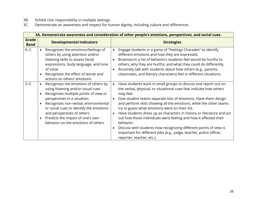- 3B. Exhibit civic responsibility in multiple settings.
- 3C. Demonstrate an awareness and respect for human dignity, including culture and differences.

|                             | 3A. Demonstrate awareness and consideration of other people's emotions, perspectives, and social cues.                                                                                                                                                                                                                                                                                            |                                                                                                                                                                                                                                                                                                                                                                                                                                                                                                                                                                                                                                                                                                           |  |  |
|-----------------------------|---------------------------------------------------------------------------------------------------------------------------------------------------------------------------------------------------------------------------------------------------------------------------------------------------------------------------------------------------------------------------------------------------|-----------------------------------------------------------------------------------------------------------------------------------------------------------------------------------------------------------------------------------------------------------------------------------------------------------------------------------------------------------------------------------------------------------------------------------------------------------------------------------------------------------------------------------------------------------------------------------------------------------------------------------------------------------------------------------------------------------|--|--|
| <b>Grade</b><br><b>Band</b> | <b>Developmental Indicators</b>                                                                                                                                                                                                                                                                                                                                                                   | <b>Strategies</b>                                                                                                                                                                                                                                                                                                                                                                                                                                                                                                                                                                                                                                                                                         |  |  |
| $K-2$                       | Recognizes the emotions/feelings of<br>$\bullet$<br>others by using attention and/or<br>listening skills to assess facial<br>expressions, body language, and tone<br>of voice<br>Recognizes the effect of words and<br>$\bullet$<br>actions on others' emotions                                                                                                                                   | Engage students in a game of "Feelings Charades" to identify<br>$\bullet$<br>different emotions and how they are expressed.<br>Brainstorm a list of behaviors students feel would be hurtful to<br>others, why they are hurtful, and what they could do differently.<br>Routinely talk with students about how others (e.g., parents,<br>classmates, and literary characters) feel in different situations.                                                                                                                                                                                                                                                                                               |  |  |
| $3 - 5$                     | Recognizes the emotions of others by<br>$\bullet$<br>using listening and/or visual cues<br>Recognizes multiple points of view or<br>$\bullet$<br>perspectives in a situation<br>Recognizes non-verbal, environmental<br>$\bullet$<br>or social cues to identify the emotions<br>and perspectives of others<br>Predicts the impact of one's own<br>$\bullet$<br>behavior on the emotions of others | Have students work in small groups to discuss and report out on<br>$\bullet$<br>the verbal, physical, or situational cues that indicate how others<br>may feel.<br>Give student teams separate lists of emotions. Have them design<br>and perform skits showing all the emotions, while the other teams<br>try to guess what emotions were on their list.<br>Have students dress up as characters in history or literature and act<br>$\bullet$<br>out how those individuals were feeling and how it affected their<br>behavior.<br>Discuss with students how recognizing different points of view is<br>important for different jobs (e.g., judge, teacher, police officer,<br>reporter, teacher, etc.). |  |  |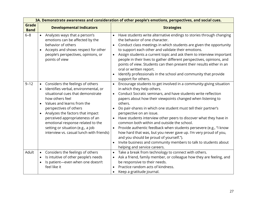|                             | 3A. Demonstrate awareness and consideration of other people's emotions, perspectives, and social cues.                                                                                                                                                                                                                                                                                                          |                                                                                                                                                                                                                                                                                                                                                                                                                                                                                                                                                                                                                                                                                                                                                                                           |  |
|-----------------------------|-----------------------------------------------------------------------------------------------------------------------------------------------------------------------------------------------------------------------------------------------------------------------------------------------------------------------------------------------------------------------------------------------------------------|-------------------------------------------------------------------------------------------------------------------------------------------------------------------------------------------------------------------------------------------------------------------------------------------------------------------------------------------------------------------------------------------------------------------------------------------------------------------------------------------------------------------------------------------------------------------------------------------------------------------------------------------------------------------------------------------------------------------------------------------------------------------------------------------|--|
| <b>Grade</b><br><b>Band</b> | <b>Developmental Indicators</b>                                                                                                                                                                                                                                                                                                                                                                                 | <b>Strategies</b>                                                                                                                                                                                                                                                                                                                                                                                                                                                                                                                                                                                                                                                                                                                                                                         |  |
| $6 - 8$                     | Analyzes ways that a person's<br>$\bullet$<br>emotions can be affected by the<br>behavior of others<br>Accepts and shows respect for other<br>$\bullet$<br>people's perspectives, opinions, or<br>points of view                                                                                                                                                                                                | Have students write alternative endings to stories through changing<br>$\bullet$<br>the behavior of one character.<br>Conduct class meetings in which students are given the opportunity<br>to support each other and validate their emotions.<br>Assign students a current topic and ask them to interview important<br>$\bullet$<br>people in their lives to gather different perspectives, opinions, and<br>points of view. Students can then present their results either in an<br>oral or written report.<br>Identify professionals in the school and community that provide<br>support for others.                                                                                                                                                                                  |  |
| $9 - 12$                    | Considers the feelings of others<br>$\bullet$<br>Identifies verbal, environmental, or<br>situational cues that demonstrate<br>how others feel<br>Values and learns from the<br>perspectives of others<br>Analyzes the factors that impact<br>$\bullet$<br>perceived appropriateness of an<br>emotional response related to the<br>setting or situation (e.g., a job<br>interview vs. casual lunch with friends) | Encourage students to get involved in a community-giving situation<br>$\bullet$<br>in which they help others.<br>Conduct Socratic seminars, and have students write reflection<br>$\bullet$<br>papers about how their viewpoints changed when listening to<br>others.<br>Do pair-shares in which one student must tell their partner's<br>perspective on an issue.<br>Have students interview other peers to discover what they have in<br>common both within and outside the school.<br>Provide authentic feedback when students persevere (e.g., "I know<br>$\bullet$<br>how hard that was, but you never gave up. I'm very proud of you,<br>and you should be proud of yourself.").<br>Invite business and community members to talk to students about<br>helping and service careers. |  |
| Adult                       | Considers the feelings of others<br>$\bullet$<br>Is intuitive of other people's needs<br>$\bullet$<br>Is patient-even when one doesn't<br>feel like it                                                                                                                                                                                                                                                          | Take a break from technology to connect with others.<br>$\bullet$<br>Ask a friend, family member, or colleague how they are feeling, and<br>be responsive to their needs.<br>Practice random acts of kindness.<br>Keep a gratitude journal.                                                                                                                                                                                                                                                                                                                                                                                                                                                                                                                                               |  |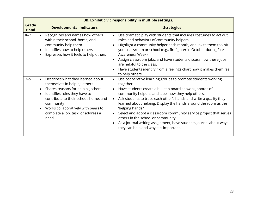|                             | 3B. Exhibit civic responsibility in multiple settings.                                                                                                                                                                                                                                                                                 |                                                                                                                                                                                                                                                                                                                                                                                                                                                                                                                                                                                                                         |  |  |
|-----------------------------|----------------------------------------------------------------------------------------------------------------------------------------------------------------------------------------------------------------------------------------------------------------------------------------------------------------------------------------|-------------------------------------------------------------------------------------------------------------------------------------------------------------------------------------------------------------------------------------------------------------------------------------------------------------------------------------------------------------------------------------------------------------------------------------------------------------------------------------------------------------------------------------------------------------------------------------------------------------------------|--|--|
| <b>Grade</b><br><b>Band</b> | <b>Developmental Indicators</b>                                                                                                                                                                                                                                                                                                        | <b>Strategies</b>                                                                                                                                                                                                                                                                                                                                                                                                                                                                                                                                                                                                       |  |  |
| $K-2$                       | Recognizes and names how others<br>$\bullet$<br>within their school, home, and<br>community help them<br>Identifies how to help others<br>$\bullet$<br>Expresses how it feels to help others<br>$\bullet$                                                                                                                              | Use dramatic play with students that includes costumes to act out<br>$\bullet$<br>roles and behaviors of community helpers.<br>Highlight a community helper each month, and invite them to visit<br>$\bullet$<br>your classroom or school (e.g., firefighter in October during Fire<br>Awareness Week).<br>Assign classroom jobs, and have students discuss how these jobs<br>are helpful to the class.<br>Have students identify from a feelings chart how it makes them feel<br>to help others.                                                                                                                       |  |  |
| $3 - 5$                     | Describes what they learned about<br>$\bullet$<br>themselves in helping others<br>Shares reasons for helping others<br>$\bullet$<br>Identifies roles they have to<br>$\bullet$<br>contribute to their school, home, and<br>community<br>Works collaboratively with peers to<br>$\bullet$<br>complete a job, task, or address a<br>need | Use cooperative learning groups to promote students working<br>$\bullet$<br>together.<br>Have students create a bulletin board showing photos of<br>$\bullet$<br>community helpers, and label how they help others.<br>Ask students to trace each other's hands and write a quality they<br>$\bullet$<br>learned about helping. Display the hands around the room as the<br>'helping hands.'<br>Select and adopt a classroom community service project that serves<br>others in the school or community.<br>As a journal writing assignment, have students journal about ways<br>they can help and why it is important. |  |  |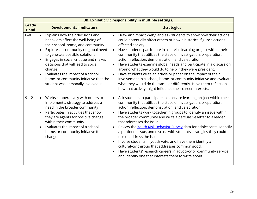|                             | 3B. Exhibit civic responsibility in multiple settings.                                                                                                                                                                                                                                                                                                                                                                                     |                                                                                                                                                                                                                                                                                                                                                                                                                                                                                                                                                                                                                                                                                                                                                                                                            |  |  |
|-----------------------------|--------------------------------------------------------------------------------------------------------------------------------------------------------------------------------------------------------------------------------------------------------------------------------------------------------------------------------------------------------------------------------------------------------------------------------------------|------------------------------------------------------------------------------------------------------------------------------------------------------------------------------------------------------------------------------------------------------------------------------------------------------------------------------------------------------------------------------------------------------------------------------------------------------------------------------------------------------------------------------------------------------------------------------------------------------------------------------------------------------------------------------------------------------------------------------------------------------------------------------------------------------------|--|--|
| <b>Grade</b><br><b>Band</b> | <b>Developmental Indicators</b>                                                                                                                                                                                                                                                                                                                                                                                                            | <b>Strategies</b>                                                                                                                                                                                                                                                                                                                                                                                                                                                                                                                                                                                                                                                                                                                                                                                          |  |  |
| $6 - 8$                     | • Explains how their decisions and<br>behaviors affect the well-being of<br>their school, home, and community<br>Explores a community or global need<br>$\bullet$<br>to generate possible solutions<br>Engages in social critique and makes<br>$\bullet$<br>decisions that will lead to social<br>change<br>Evaluates the impact of a school,<br>$\bullet$<br>home, or community initiative that the<br>student was personally involved in | Draw an "Impact Web," and ask students to show how their actions<br>could potentially affect others or how a historical figure's actions<br>affected society.<br>Have students participate in a service learning project within their<br>$\bullet$<br>community that utilizes the steps of investigation, preparation,<br>action, reflection, demonstration, and celebration.<br>Have students examine global needs and participate in a discussion<br>around what they would do to help if they were president.<br>Have students write an article or paper on the impact of their<br>involvement in a school, home, or community initiative and evaluate<br>what they would do the same or differently. Have them reflect on<br>how that activity might influence their career interests.                 |  |  |
| $9 - 12$                    | Works cooperatively with others to<br>$\bullet$<br>implement a strategy to address a<br>need in the broader community<br>Participates in activities that show<br>they are agents for positive change<br>within their community<br>Evaluates the impact of a school,<br>$\bullet$<br>home, or community initiative for<br>change                                                                                                            | Ask students to participate in a service learning project within their<br>community that utilizes the steps of investigation, preparation,<br>action, reflection, demonstration, and celebration.<br>Have students work together in groups to identify an issue within<br>the broader community and write a persuasive letter to a leader<br>that addresses the issue.<br>Review the Youth Risk Behavior Survey data for adolescents. Identify<br>$\bullet$<br>a pertinent issue, and discuss with students strategies they could<br>use to address the issue.<br>Involve students in youth vote, and have them identify a<br>cultural/civic group that addresses common good.<br>Have students' research careers in advocacy or community service<br>and identify one that interests them to write about. |  |  |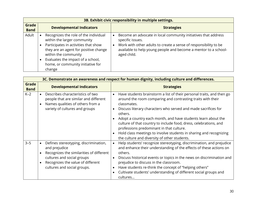|                      | 3B. Exhibit civic responsibility in multiple settings.                                                                                                                                                                                                                         |                                                                                                                                                                                                                                          |  |  |
|----------------------|--------------------------------------------------------------------------------------------------------------------------------------------------------------------------------------------------------------------------------------------------------------------------------|------------------------------------------------------------------------------------------------------------------------------------------------------------------------------------------------------------------------------------------|--|--|
| Grade<br><b>Band</b> | <b>Developmental Indicators</b>                                                                                                                                                                                                                                                | <b>Strategies</b>                                                                                                                                                                                                                        |  |  |
| Adult                | Recognizes the role of the individual<br>$\bullet$<br>within the larger community<br>Participates in activities that show<br>they are an agent for positive change<br>within the community<br>Evaluates the impact of a school,<br>home, or community initiative for<br>change | Become an advocate in local community initiatives that address<br>specific issues.<br>Work with other adults to create a sense of responsibility to be<br>available to help young people and become a mentor to a school-<br>aged child. |  |  |

|                             | 3C. Demonstrate an awareness and respect for human dignity, including culture and differences.                                                                                                                                              |                                                                                                                                                                                                                                                                                                                                                                                                                                                                                                                                                       |  |
|-----------------------------|---------------------------------------------------------------------------------------------------------------------------------------------------------------------------------------------------------------------------------------------|-------------------------------------------------------------------------------------------------------------------------------------------------------------------------------------------------------------------------------------------------------------------------------------------------------------------------------------------------------------------------------------------------------------------------------------------------------------------------------------------------------------------------------------------------------|--|
| <b>Grade</b><br><b>Band</b> | <b>Developmental Indicators</b>                                                                                                                                                                                                             | <b>Strategies</b>                                                                                                                                                                                                                                                                                                                                                                                                                                                                                                                                     |  |
| $K-2$                       | Describes characteristics of two<br>$\bullet$<br>people that are similar and different<br>Names qualities of others from a<br>$\bullet$<br>variety of cultures and groups                                                                   | Have students brainstorm a list of their personal traits, and then go<br>$\bullet$<br>around the room comparing and contrasting traits with their<br>classmates.<br>Discuss literary characters who served and made sacrifices for<br>others.<br>Adopt a country each month, and have students learn about the<br>culture of that country to include food, dress, celebrations, and<br>professions predominant in that culture.<br>Hold class meetings to involve students in sharing and recognizing<br>the culture and diversity of other students. |  |
| $3 - 5$                     | Defines stereotyping, discrimination,<br>$\bullet$<br>and prejudice<br>Recognizes the similarities of different<br>$\bullet$<br>cultures and social groups<br>Recognizes the value of different<br>$\bullet$<br>cultures and social groups. | Help students' recognize stereotyping, discrimination, and prejudice<br>$\bullet$<br>and enhance their understanding of the effects of these actions on<br>others.<br>Discuss historical events or topics in the news on discrimination and<br>prejudice to discuss in the classroom.<br>Have students re-think the concept of "helping others"<br>Cultivate students' understanding of different social groups and<br>cultures                                                                                                                       |  |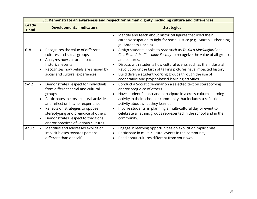|                      | 3C. Demonstrate an awareness and respect for human dignity, including culture and differences.                                                                                                                                                                                                                                                                                       |                                                                                                                                                                                                                                                                                                                                                                                                                                                           |  |
|----------------------|--------------------------------------------------------------------------------------------------------------------------------------------------------------------------------------------------------------------------------------------------------------------------------------------------------------------------------------------------------------------------------------|-----------------------------------------------------------------------------------------------------------------------------------------------------------------------------------------------------------------------------------------------------------------------------------------------------------------------------------------------------------------------------------------------------------------------------------------------------------|--|
| Grade<br><b>Band</b> | <b>Developmental Indicators</b>                                                                                                                                                                                                                                                                                                                                                      | <b>Strategies</b>                                                                                                                                                                                                                                                                                                                                                                                                                                         |  |
|                      |                                                                                                                                                                                                                                                                                                                                                                                      | Identify and teach about historical figures that used their<br>$\bullet$<br>career/occupation to fight for social justice (e.g., Martin Luther King,<br>Jr., Abraham Lincoln).                                                                                                                                                                                                                                                                            |  |
| $6 - 8$              | Recognizes the value of different<br>$\bullet$<br>cultures and social groups<br>Analyzes how culture impacts<br>$\bullet$<br>historical events<br>Recognizes how beliefs are shaped by<br>$\bullet$<br>social and cultural experiences                                                                                                                                               | Assign students books to read such as To Kill a Mockingbird and<br>$\bullet$<br>Charlie and the Chocolate Factory to recognize the value of all groups<br>and cultures.<br>Discuss with students how cultural events such as the Industrial<br>Revolution or the birth of talking pictures have impacted history.<br>Build diverse student working groups through the use of<br>$\bullet$<br>cooperative and project-based learning activities.           |  |
| $9 - 12$             | Demonstrates respect for individuals<br>$\bullet$<br>from different social and cultural<br>groups<br>Participates in cross-cultural activities<br>$\bullet$<br>and reflect on his/her experience<br>Reflects on strategies to oppose<br>$\bullet$<br>stereotyping and prejudice of others<br>Demonstrates respect to traditions<br>$\bullet$<br>and/or practices of various cultures | Conduct a Socratic seminar on a selected text on stereotyping<br>$\bullet$<br>and/or prejudice of others.<br>Have students' select and participate in a cross-cultural learning<br>activity in their school or community that includes a reflection<br>activity about what they learned.<br>Involve students' in planning a multi-cultural day or event to<br>$\bullet$<br>celebrate all ethnic groups represented in the school and in the<br>community. |  |
| Adult                | Identifies and addresses explicit or<br>$\bullet$<br>implicit biases towards persons<br>different than oneself                                                                                                                                                                                                                                                                       | Engage in learning opportunities on explicit or implicit bias.<br>$\bullet$<br>Participate in multi-cultural events in the community.<br>$\bullet$<br>Read about cultures different from your own.                                                                                                                                                                                                                                                        |  |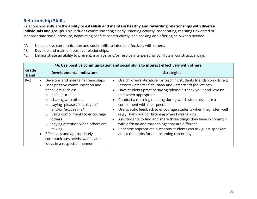# **Relationship Skills**

Relationships skills are the **ability to establish and maintain healthy and rewarding relationships with diverse individuals and groups.** This includes communicating clearly, listening actively, cooperating, resisting unwanted or inappropriate social pressure, negotiating conflict constructively, and seeking and offering help when needed.

- 4A. Use positive communication and social skills to interact effectively with others.
- 4B. Develop and maintain positive relationships.
- 4C. Demonstrate an ability to prevent, manage, and/or resolve interpersonal conflicts in constructive ways.

|                      | 4A. Use positive communication and social skills to interact effectively with others.                                                                                                                                                                                                                                                                                                                                                                       |                                                                                                                                                                                                                                                                                                                                                                                                                                                                                                                                                                                                                                                                                                             |  |
|----------------------|-------------------------------------------------------------------------------------------------------------------------------------------------------------------------------------------------------------------------------------------------------------------------------------------------------------------------------------------------------------------------------------------------------------------------------------------------------------|-------------------------------------------------------------------------------------------------------------------------------------------------------------------------------------------------------------------------------------------------------------------------------------------------------------------------------------------------------------------------------------------------------------------------------------------------------------------------------------------------------------------------------------------------------------------------------------------------------------------------------------------------------------------------------------------------------------|--|
| Grade<br><b>Band</b> | <b>Developmental Indicators</b>                                                                                                                                                                                                                                                                                                                                                                                                                             | <b>Strategies</b>                                                                                                                                                                                                                                                                                                                                                                                                                                                                                                                                                                                                                                                                                           |  |
| $K-2$                | Develops and maintains friendships<br>Uses positive communication and<br>behaviors such as:<br>taking turns<br>$\circ$<br>sharing with others<br>$\circ$<br>saying "please", "thank you,"<br>$\circ$<br>and/or "excuse me"<br>using compliments to encourage<br>$\circ$<br>others<br>paying attention when others are<br>$\circ$<br>talking<br>Effectively and appropriately<br>$\bullet$<br>communicates needs, wants, and<br>ideas in a respectful manner | • Use children's literature for teaching students friendship skills (e.g.,<br>Hunter's Best Friend at School and Best Friends for Frances).<br>Have students practice saying "please," "thank you," and "excuse<br>me" when appropriate.<br>Conduct a morning meeting during which students share a<br>compliment with their peers.<br>Use specific feedback to encourage students when they listen well<br>(e.g., Thank you for listening when I was talking.).<br>Ask students to find and share three things they have in common<br>with a friend and three things that are different.<br>Rehearse appropriate questions students can ask guest speakers<br>about their jobs for an upcoming career day. |  |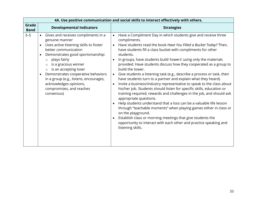| 4A. Use positive communication and social skills to interact effectively with others. |                                                                                                                                                                                                                                                                                                                                                                                                                     |                                                                                                                                                                                                                                                                                                                                                                                                                                                                                                                                                                                                                                                                                                                                                                                                                                                                                                                                                                                                                                                                                                                                                                                        |
|---------------------------------------------------------------------------------------|---------------------------------------------------------------------------------------------------------------------------------------------------------------------------------------------------------------------------------------------------------------------------------------------------------------------------------------------------------------------------------------------------------------------|----------------------------------------------------------------------------------------------------------------------------------------------------------------------------------------------------------------------------------------------------------------------------------------------------------------------------------------------------------------------------------------------------------------------------------------------------------------------------------------------------------------------------------------------------------------------------------------------------------------------------------------------------------------------------------------------------------------------------------------------------------------------------------------------------------------------------------------------------------------------------------------------------------------------------------------------------------------------------------------------------------------------------------------------------------------------------------------------------------------------------------------------------------------------------------------|
| Grade<br><b>Band</b>                                                                  | <b>Developmental Indicators</b>                                                                                                                                                                                                                                                                                                                                                                                     | <b>Strategies</b>                                                                                                                                                                                                                                                                                                                                                                                                                                                                                                                                                                                                                                                                                                                                                                                                                                                                                                                                                                                                                                                                                                                                                                      |
| $3 - 5$                                                                               | • Gives and receives compliments in a<br>genuine manner<br>Uses active listening skills to foster<br>better communication<br>Demonstrates good sportsmanship:<br>plays fairly<br>$\circ$<br>is a gracious winner<br>$\circ$<br>is an accepting loser<br>$\circ$<br>Demonstrates cooperative behaviors<br>in a group (e.g., listens, encourages,<br>acknowledges opinions,<br>compromises, and reaches<br>consensus) | Have a Compliment Day in which students give and receive three<br>$\bullet$<br>compliments.<br>Have students read the book Have You Filled a Bucket Today? Then,<br>$\bullet$<br>have students fill a class bucket with compliments for other<br>students.<br>In groups, have students build 'towers' using only the materials<br>$\bullet$<br>provided. Have students discuss how they cooperated as a group to<br>build the tower.<br>Give students a listening task (e.g., describe a process or task, then<br>$\bullet$<br>have students turn to a partner and explain what they heard).<br>Invite a business/industry representative to speak to the class about<br>$\bullet$<br>his/her job. Students should listen for specific skills, education or<br>training required, rewards and challenges in the job, and should ask<br>appropriate questions.<br>Help students understand that a loss can be a valuable life lesson<br>through "teachable moments" when playing games either in class or<br>on the playground.<br>Establish class or morning meetings that give students the<br>opportunity to interact with each other and practice speaking and<br>listening skills. |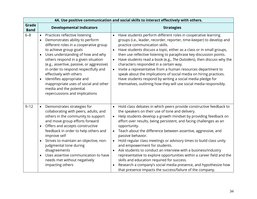|                      |                                                                                                                                                                                                                                                                                                                                                                                                                                                                                                                            | 4A. Use positive communication and social skills to interact effectively with others.                                                                                                                                                                                                                                                                                                                                                                                                                                                                                                                                                                                                                                                                                                                                         |  |
|----------------------|----------------------------------------------------------------------------------------------------------------------------------------------------------------------------------------------------------------------------------------------------------------------------------------------------------------------------------------------------------------------------------------------------------------------------------------------------------------------------------------------------------------------------|-------------------------------------------------------------------------------------------------------------------------------------------------------------------------------------------------------------------------------------------------------------------------------------------------------------------------------------------------------------------------------------------------------------------------------------------------------------------------------------------------------------------------------------------------------------------------------------------------------------------------------------------------------------------------------------------------------------------------------------------------------------------------------------------------------------------------------|--|
| Grade<br><b>Band</b> | <b>Developmental Indicators</b>                                                                                                                                                                                                                                                                                                                                                                                                                                                                                            | <b>Strategies</b>                                                                                                                                                                                                                                                                                                                                                                                                                                                                                                                                                                                                                                                                                                                                                                                                             |  |
| $6 - 8$              | Practices reflective listening<br>$\bullet$<br>Demonstrates ability to perform<br>$\bullet$<br>different roles in a cooperative group<br>to achieve group goals<br>Uses understanding of how and why<br>$\bullet$<br>others respond in a given situation<br>(e.g., assertive, passive, or aggressive)<br>in order to respond respectfully and<br>effectively with others<br>Identifies appropriate and<br>$\bullet$<br>inappropriate uses of social and other<br>media and the potential<br>repercussions and implications | Have students perform different roles in cooperative learning<br>$\bullet$<br>groups (i.e., leader, recorder, reporter, time-keeper) to develop and<br>practice communication skills.<br>Have students discuss a topic, either as a class or in small groups,<br>$\bullet$<br>then use reflective listening to paraphrase key discussion points.<br>Have students read a book (e.g., The Outsiders), then discuss why the<br>$\bullet$<br>characters responded in a certain way.<br>Invite a representative from a human resources department to<br>$\bullet$<br>speak about the implications of social media on hiring practices.<br>Have students respond by writing a social media pledge for<br>themselves, outlining how they will use social media responsibly.                                                         |  |
| $9 - 12$             | Demonstrates strategies for<br>$\bullet$<br>collaborating with peers, adults, and<br>others in the community to support<br>and move group efforts forward<br>Offers and accepts constructive<br>$\bullet$<br>feedback in order to help others and<br>improve self<br>Strives to maintain an objective, non-<br>$\bullet$<br>judgmental tone during<br>disagreements<br>Uses assertive communication to have<br>$\bullet$<br>needs met without negatively<br>impacting others                                               | Hold class debates in which peers provide constructive feedback to<br>the speakers on their use of tone and delivery.<br>Help students develop a growth mindset by providing feedback on<br>$\bullet$<br>effort over results, being persistent, and facing challenges as an<br>opportunity.<br>Teach about the difference between assertive, aggressive, and<br>passive behavior.<br>Hold regular class meetings or advisory times to build class unity<br>$\bullet$<br>and empowerment for students.<br>Ask students to conduct an interview with a business/industry<br>representative to explore opportunities within a career field and the<br>skills and education required for success.<br>Research a company's social media presence, and hypothesize how<br>that presence impacts the success/failure of the company. |  |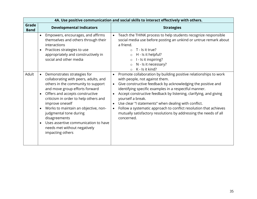|                      |                                                                                                                                                                                                                                                                                                                                                                                                                                                                                |                                     | 4A. Use positive communication and social skills to interact effectively with others.                                                                                                                                                                                                                                                                                                                                                                                                                                                |  |  |
|----------------------|--------------------------------------------------------------------------------------------------------------------------------------------------------------------------------------------------------------------------------------------------------------------------------------------------------------------------------------------------------------------------------------------------------------------------------------------------------------------------------|-------------------------------------|--------------------------------------------------------------------------------------------------------------------------------------------------------------------------------------------------------------------------------------------------------------------------------------------------------------------------------------------------------------------------------------------------------------------------------------------------------------------------------------------------------------------------------------|--|--|
| Grade<br><b>Band</b> | <b>Developmental Indicators</b>                                                                                                                                                                                                                                                                                                                                                                                                                                                |                                     | <b>Strategies</b>                                                                                                                                                                                                                                                                                                                                                                                                                                                                                                                    |  |  |
|                      | Empowers, encourages, and affirms<br>$\bullet$<br>themselves and others through their<br>interactions<br>Practices strategies to use<br>$\bullet$<br>appropriately and constructively in<br>social and other media                                                                                                                                                                                                                                                             | $\bullet$                           | Teach the THINK process to help students recognize responsible<br>social media use before posting an unkind or untrue remark about<br>a friend.<br>T - Is it true?<br>H - Is it helpful?<br>$\circ$<br>I - Is it inspiring?<br>$\circ$<br>N - Is it necessary?<br>$\circ$<br>K - Is it kind?<br>$\circ$                                                                                                                                                                                                                              |  |  |
| Adult                | Demonstrates strategies for<br>$\bullet$<br>collaborating with peers, adults, and<br>others in the community to support<br>and move group efforts forward<br>Offers and accepts constructive<br>$\bullet$<br>criticism in order to help others and<br>improve oneself<br>Works to maintain an objective, non-<br>$\bullet$<br>judgmental tone during<br>disagreements<br>Uses assertive communication to have<br>$\bullet$<br>needs met without negatively<br>impacting others | $\bullet$<br>$\bullet$<br>$\bullet$ | Promote collaboration by building positive relationships to work<br>with people, not against them.<br>Give constructive feedback by acknowledging the positive and<br>identifying specific examples in a respectful manner.<br>Accept constructive feedback by listening, clarifying, and giving<br>yourself a break.<br>Use clear "I statements" when dealing with conflict.<br>Follow a systematic approach to conflict resolution that achieves<br>mutually satisfactory resolutions by addressing the needs of all<br>concerned. |  |  |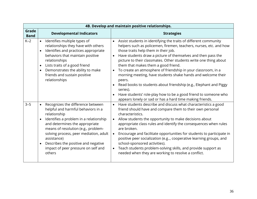|                      | 4B. Develop and maintain positive relationships.                                                                                                                                                                                                                                                                                                                                      |                                                                                                                                                                                                                                                                                                                                                                                                                                                                                                                                                                                                                                                                                                  |  |  |
|----------------------|---------------------------------------------------------------------------------------------------------------------------------------------------------------------------------------------------------------------------------------------------------------------------------------------------------------------------------------------------------------------------------------|--------------------------------------------------------------------------------------------------------------------------------------------------------------------------------------------------------------------------------------------------------------------------------------------------------------------------------------------------------------------------------------------------------------------------------------------------------------------------------------------------------------------------------------------------------------------------------------------------------------------------------------------------------------------------------------------------|--|--|
| Grade<br><b>Band</b> | <b>Developmental Indicators</b>                                                                                                                                                                                                                                                                                                                                                       | <b>Strategies</b>                                                                                                                                                                                                                                                                                                                                                                                                                                                                                                                                                                                                                                                                                |  |  |
| $K-2$                | • Identifies multiple types of<br>relationships they have with others<br>Identifies and practices appropriate<br>$\bullet$<br>behaviors that maintain positive<br>relationships<br>Lists traits of a good friend<br>$\bullet$<br>Demonstrates the ability to make<br>$\bullet$<br>friends and sustain positive<br>relationships                                                       | Assist students in identifying the traits of different community<br>helpers such as policemen, firemen, teachers, nurses, etc. and how<br>those traits help them in their job.<br>Have students draw a picture of themselves and then pass the<br>$\bullet$<br>picture to their classmates. Other students write one thing about<br>them that makes them a good friend.<br>To create an atmosphere of friendship in your classroom, in a<br>$\bullet$<br>morning meeting, have students shake hands and welcome their<br>peers.<br>Read books to students about friendship (e.g., Elephant and Piggy<br>$\bullet$<br>series).<br>Have students' role-play how to be a good friend to someone who |  |  |
|                      |                                                                                                                                                                                                                                                                                                                                                                                       | appears lonely or sad or has a hard time making friends.                                                                                                                                                                                                                                                                                                                                                                                                                                                                                                                                                                                                                                         |  |  |
| $3 - 5$              | Recognizes the difference between<br>$\bullet$<br>helpful and harmful behaviors in a<br>relationship<br>Identifies a problem in a relationship<br>and determines the appropriate<br>means of resolution (e.g., problem-<br>solving process, peer mediation, adult<br>assistance)<br>Describes the positive and negative<br>$\bullet$<br>impact of peer pressure on self and<br>others | Have students describe and discuss what characteristics a good<br>$\bullet$<br>friend should have and compare them to their own personal<br>characteristics.<br>Allow students the opportunity to make decisions about<br>$\bullet$<br>appropriate class rules and identify the consequences when rules<br>are broken.<br>Encourage and facilitate opportunities for students to participate in<br>$\bullet$<br>positive peer socialization (e.g, cooperative learning groups, and<br>school-sponsored activities).<br>Teach students problem-solving skills, and provide support as<br>needed when they are working to resolve a conflict.                                                      |  |  |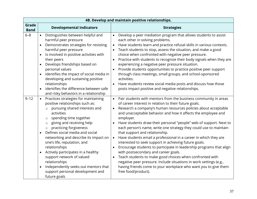| 4B. Develop and maintain positive relationships. |                                                                                                                                                                                                                                                                                                                                                                                                                                                                                                                                                                                                                                                   |                                                  |                                                                                                                                                                                                                                                                                                                                                                                                                                                                                                                                                                                                                                                                                                                                                                                                                                                                                                                               |
|--------------------------------------------------|---------------------------------------------------------------------------------------------------------------------------------------------------------------------------------------------------------------------------------------------------------------------------------------------------------------------------------------------------------------------------------------------------------------------------------------------------------------------------------------------------------------------------------------------------------------------------------------------------------------------------------------------------|--------------------------------------------------|-------------------------------------------------------------------------------------------------------------------------------------------------------------------------------------------------------------------------------------------------------------------------------------------------------------------------------------------------------------------------------------------------------------------------------------------------------------------------------------------------------------------------------------------------------------------------------------------------------------------------------------------------------------------------------------------------------------------------------------------------------------------------------------------------------------------------------------------------------------------------------------------------------------------------------|
| Grade<br><b>Band</b>                             | <b>Developmental Indicators</b>                                                                                                                                                                                                                                                                                                                                                                                                                                                                                                                                                                                                                   |                                                  | <b>Strategies</b>                                                                                                                                                                                                                                                                                                                                                                                                                                                                                                                                                                                                                                                                                                                                                                                                                                                                                                             |
| $6 - 8$                                          | Distinguishes between helpful and<br>$\bullet$<br>harmful peer pressure<br>Demonstrates strategies for resisting<br>harmful peer pressure<br>Is involved in positive activities with<br>$\bullet$<br>their peers<br>Develops friendships based on<br>personal values<br>Identifies the impact of social media in<br>$\bullet$<br>developing and sustaining positive<br>relationships<br>Identifies the difference between safe                                                                                                                                                                                                                    | $\bullet$                                        | Develop a peer mediation program that allows students to assist<br>each other in solving problems.<br>Have students learn and practice refusal skills in various contexts.<br>Teach students to stop, assess the situation, and make a good<br>choice when confronted with negative peer pressure.<br>Practice with students to recognize their body signals when they are<br>experiencing a negative peer pressure situation.<br>Provide students opportunities to practice positive peer support<br>through class meetings, small groups, and school-sponsored<br>activities.<br>Have students review social media posts and discuss how those<br>posts impact positive and negative relationships.                                                                                                                                                                                                                         |
| $9 - 12$                                         | and risky behaviors in a relationship<br>Practices strategies for maintaining<br>$\bullet$<br>positive relationships such as:<br>pursuing shared interests and<br>activities<br>spending time together<br>$\circ$<br>giving and receiving help<br>$\circ$<br>practicing forgiveness<br>$\circ$<br>Defines social media and social<br>$\bullet$<br>networking and describe its impact on<br>one's life, reputation, and<br>relationships<br>Actively participates in a healthy<br>$\bullet$<br>support network of valued<br>relationships<br>Independently seeks out mentors that<br>$\bullet$<br>support personal development and<br>future goals | $\bullet$<br>$\bullet$<br>$\bullet$<br>$\bullet$ | Pair students with mentors from the business community in areas<br>of career interest in relation to their future goals.<br>Research a company's human resources policies about acceptable<br>and unacceptable behavior and how it affects the employee and<br>employer.<br>Have students draw their personal "people" web of support. Next to<br>each person's name, write one strategy they could use to maintain<br>that support and relationship.<br>Have students email a professional in a career in which they are<br>interested to seek support in achieving future goals.<br>Encourage students to participate in leadership programs that align<br>with postsecondary and career goals.<br>Teach students to make good choices when confronted with<br>negative peer pressure. Include situations in work settings (e.g.,<br>having friends come to your workplace who want you to give them<br>free food/product). |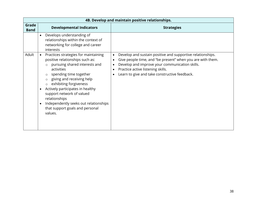|                      | 4B. Develop and maintain positive relationships.                                                                                                                                                                                                                                                                                                                                                                                                                    |                                                                                                                                                                                                                                                                                                         |  |  |
|----------------------|---------------------------------------------------------------------------------------------------------------------------------------------------------------------------------------------------------------------------------------------------------------------------------------------------------------------------------------------------------------------------------------------------------------------------------------------------------------------|---------------------------------------------------------------------------------------------------------------------------------------------------------------------------------------------------------------------------------------------------------------------------------------------------------|--|--|
| Grade<br><b>Band</b> | <b>Developmental Indicators</b>                                                                                                                                                                                                                                                                                                                                                                                                                                     | <b>Strategies</b>                                                                                                                                                                                                                                                                                       |  |  |
|                      | Develops understanding of<br>$\bullet$<br>relationships within the context of<br>networking for college and career<br>interests                                                                                                                                                                                                                                                                                                                                     |                                                                                                                                                                                                                                                                                                         |  |  |
| Adult                | Practices strategies for maintaining<br>$\bullet$<br>positive relationships such as:<br>pursuing shared interests and<br>$\circ$<br>activities<br>spending time together<br>$\circ$<br>giving and receiving help<br>$\circ$<br>exhibiting forgiveness<br>$\circ$<br>Actively participates in healthy<br>$\bullet$<br>support network of valued<br>relationships<br>Independently seeks out relationships<br>$\bullet$<br>that support goals and personal<br>values. | Develop and sustain positive and supportive relationships.<br>$\bullet$<br>Give people time, and "be present" when you are with them.<br>$\bullet$<br>Develop and improve your communication skills.<br>$\bullet$<br>Practice active listening skills.<br>Learn to give and take constructive feedback. |  |  |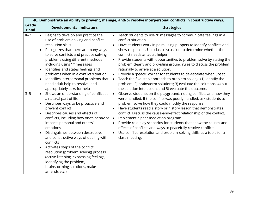|                      |                                                                                                                                                                                                                                                                                                                                                                                                                                                                                                                                                                                                                    |                                                  | 4C. Demonstrate an ability to prevent, manage, and/or resolve interpersonal conflicts in constructive ways.                                                                                                                                                                                                                                                                                                                                                                                                                                                                                                                                                                                                                    |
|----------------------|--------------------------------------------------------------------------------------------------------------------------------------------------------------------------------------------------------------------------------------------------------------------------------------------------------------------------------------------------------------------------------------------------------------------------------------------------------------------------------------------------------------------------------------------------------------------------------------------------------------------|--------------------------------------------------|--------------------------------------------------------------------------------------------------------------------------------------------------------------------------------------------------------------------------------------------------------------------------------------------------------------------------------------------------------------------------------------------------------------------------------------------------------------------------------------------------------------------------------------------------------------------------------------------------------------------------------------------------------------------------------------------------------------------------------|
| Grade<br><b>Band</b> | <b>Developmental Indicators</b>                                                                                                                                                                                                                                                                                                                                                                                                                                                                                                                                                                                    |                                                  | <b>Strategies</b>                                                                                                                                                                                                                                                                                                                                                                                                                                                                                                                                                                                                                                                                                                              |
| $K-2$                | Begins to develop and practice the<br>$\bullet$<br>use of problem-solving and conflict<br>resolution skills<br>Recognizes that there are many ways<br>$\bullet$<br>to solve conflicts and practice solving<br>problems using different methods<br>including using "I" messages<br>Identifies and states feelings and<br>$\bullet$<br>problems when in a conflict situation<br>Identifies interpersonal problems that<br>$\bullet$<br>need adult help to resolve, and<br>appropriately asks for help                                                                                                                | $\bullet$<br>$\bullet$<br>$\bullet$<br>$\bullet$ | Teach students to use "I" messages to communicate feelings in a<br>conflict situation.<br>Have students work in pairs using puppets to identify conflicts and<br>show responses. Use class discussion to determine whether the<br>conflict needs an adult helper.<br>Provide students with opportunities to problem solve by stating the<br>problem clearly and providing ground rules to discuss the problem<br>rationally to arrive at a solution.<br>Provide a "peace" corner for students to de-escalate when upset.<br>Teach the five-step approach to problem solving: (1) identify the<br>problem; 2) brainstorm solutions; 3) evaluate the solutions; 4) put<br>the solution into action; and 5) evaluate the outcome. |
| $3 - 5$              | Shows an understanding of conflict as<br>$\bullet$<br>a natural part of life<br>Describes ways to be proactive and<br>$\bullet$<br>prevent conflict<br>Describes causes and effects of<br>$\bullet$<br>conflicts, including how one's behavior<br>impacts personal and others'<br>emotions<br>Distinguishes between destructive<br>$\bullet$<br>and constructive ways of dealing with<br>conflicts<br>Activates steps of the conflict<br>$\bullet$<br>resolution (problem solving) process<br>(active listening, expressing feelings,<br>identifying the problem,<br>brainstorming solutions, make<br>amends etc.) | $\bullet$<br>$\bullet$<br>$\bullet$              | Observe students on the playground, noting conflicts and how they<br>were handled. If the conflict was poorly handled, ask students to<br>problem solve how they could modify the response.<br>Have students read a story or history lesson that demonstrates<br>conflict. Discuss the cause-and-effect relationship of the conflict.<br>Implement a peer mediation program.<br>Provide role play scenarios for students that show the causes and<br>effects of conflicts and ways to peacefully resolve conflicts.<br>Use conflict resolution and problem-solving skills as a topic for a<br>class meeting.                                                                                                                   |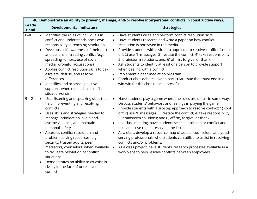| 4C. Demonstrate an ability to prevent, manage, and/or resolve interpersonal conflicts in constructive ways. |                                                                                                                                                                                                                                                                                                                                                                                                                                                                                                                                                       |                                                                                                                                                                                                                                                                                                                                                                                                                                                                                                                                                                                                                                                                                                                                                                                                                                       |
|-------------------------------------------------------------------------------------------------------------|-------------------------------------------------------------------------------------------------------------------------------------------------------------------------------------------------------------------------------------------------------------------------------------------------------------------------------------------------------------------------------------------------------------------------------------------------------------------------------------------------------------------------------------------------------|---------------------------------------------------------------------------------------------------------------------------------------------------------------------------------------------------------------------------------------------------------------------------------------------------------------------------------------------------------------------------------------------------------------------------------------------------------------------------------------------------------------------------------------------------------------------------------------------------------------------------------------------------------------------------------------------------------------------------------------------------------------------------------------------------------------------------------------|
| Grade<br><b>Band</b>                                                                                        | <b>Developmental Indicators</b>                                                                                                                                                                                                                                                                                                                                                                                                                                                                                                                       | <b>Strategies</b>                                                                                                                                                                                                                                                                                                                                                                                                                                                                                                                                                                                                                                                                                                                                                                                                                     |
| $6 - 8$                                                                                                     | Identifies the roles of individuals in<br>$\bullet$<br>conflict and understands one's own<br>responsibility in reaching resolution<br>Develops self-awareness of their part<br>$\bullet$<br>and actions in creating conflict (e.g.,<br>spreading rumors, use of social<br>media, wrongful accusations)<br>Applies conflict resolution skills to de-<br>$\bullet$<br>escalate, defuse, and resolve<br>differences<br>Identifies and accesses positive<br>$\bullet$<br>supports when needed in a conflict<br>situation/crisis                           | Have students write and perform conflict resolution skits.<br>Have students research and write a paper on how conflict<br>resolution is portrayed in the media.<br>Provide students with a six step approach to resolve conflict: 1) cool<br>$\bullet$<br>off; 2) use "I" messages; 3) restate the conflict; 4) take responsibility;<br>5) brainstorm solutions; and, 6) affirm, forgive, or thank.<br>Ask students to identify at least one person to provide support<br>$\bullet$<br>when dealing with a conflict.<br>Implement a peer mediation program.<br>Conduct class debates over a particular issue that must end in a<br>win-win for the class to be successful.                                                                                                                                                            |
| $9 - 12$                                                                                                    | Uses listening and speaking skills that<br>$\bullet$<br>help in preventing and resolving<br>conflicts<br>Uses skills and strategies needed to<br>$\bullet$<br>manage intimidation, avoid and<br>escape violence, and maintain<br>personal safety<br>Accesses conflict resolution and<br>problem-solving resources (e.g.,<br>security, trusted adults, peer<br>mediators, counselors) when available<br>to facilitate resolution of conflict<br>situations<br>Demonstrates an ability to co-exist in<br>civility in the face of unresolved<br>conflict | Have students play a game where the rules are unfair in some way.<br>$\bullet$<br>Discuss students' behaviors and feelings in playing the game.<br>Provide students with a six-step approach to resolve conflict: 1) cool<br>$\bullet$<br>off; 2) use "I" messages; 3) restate the conflict; 4) take responsibility;<br>5) brainstorm solutions; and 6) affirm, forgive, or thank.<br>In a class meeting, have students select a problem or conflict and<br>take an active role in resolving the issue.<br>As a class, develop a resource map of adults, counselors, and youth-<br>serving professionals who students can utilize to assist in resolving<br>conflicts and/or problems.<br>As a class project, have students' research processes available in a<br>$\bullet$<br>workplace to help resolve conflicts between employees. |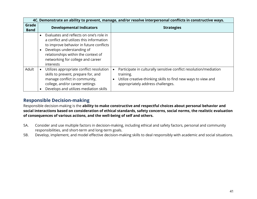| 4C. Demonstrate an ability to prevent, manage, and/or resolve interpersonal conflicts in constructive ways. |                                                                                                                                                                                                                                                                                |                                                                                                                                                                                                                |
|-------------------------------------------------------------------------------------------------------------|--------------------------------------------------------------------------------------------------------------------------------------------------------------------------------------------------------------------------------------------------------------------------------|----------------------------------------------------------------------------------------------------------------------------------------------------------------------------------------------------------------|
| Grade<br><b>Band</b>                                                                                        | <b>Developmental Indicators</b>                                                                                                                                                                                                                                                | <b>Strategies</b>                                                                                                                                                                                              |
|                                                                                                             | Evaluates and reflects on one's role in<br>$\bullet$<br>a conflict and utilizes this information<br>to improve behavior in future conflicts<br>Develops understanding of<br>$\bullet$<br>relationships within the context of<br>networking for college and career<br>interests |                                                                                                                                                                                                                |
| Adult                                                                                                       | Utilizes appropriate conflict resolution<br>$\bullet$<br>skills to prevent, prepare for, and<br>manage conflict in community,<br>college, and/or career settings<br>Develops and utilizes mediation skills                                                                     | Participate in culturally sensitive conflict resolution/mediation<br>$\bullet$<br>training.<br>Utilize creative-thinking skills to find new ways to view and<br>$\bullet$<br>appropriately address challenges. |

### **Responsible Decision-making**

Responsible decision-making is the **ability to make constructive and respectful choices about personal behavior and social interactions based on consideration of ethical standards, safety concerns, social norms, the realistic evaluation of consequences of various actions, and the well-being of self and others.**

- 5A. Consider and use multiple factors in decision-making, including ethical and safety factors, personal and community responsibilities, and short-term and long-term goals.
- 5B. Develop, implement, and model effective decision-making skills to deal responsibly with academic and social situations.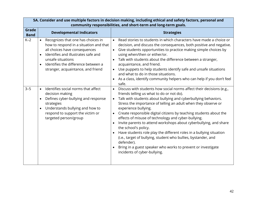| 5A. Consider and use multiple factors in decision making, including ethical and safety factors, personal and<br>community responsibilities, and short-term and long-term goals. |                                                                                                                                                                                                                                                                                               |                                                                                                                                                                                                                                                                                                                                                                                                                                                                                                                                                                                                                                                                                                                                                                                                       |  |
|---------------------------------------------------------------------------------------------------------------------------------------------------------------------------------|-----------------------------------------------------------------------------------------------------------------------------------------------------------------------------------------------------------------------------------------------------------------------------------------------|-------------------------------------------------------------------------------------------------------------------------------------------------------------------------------------------------------------------------------------------------------------------------------------------------------------------------------------------------------------------------------------------------------------------------------------------------------------------------------------------------------------------------------------------------------------------------------------------------------------------------------------------------------------------------------------------------------------------------------------------------------------------------------------------------------|--|
| Grade<br><b>Band</b>                                                                                                                                                            | <b>Developmental Indicators</b>                                                                                                                                                                                                                                                               | <b>Strategies</b>                                                                                                                                                                                                                                                                                                                                                                                                                                                                                                                                                                                                                                                                                                                                                                                     |  |
| $K-2$                                                                                                                                                                           | Recognizes that one has choices in<br>$\bullet$<br>how to respond in a situation and that<br>all choices have consequences<br>Identifies and illustrates safe and<br>$\bullet$<br>unsafe situations<br>Identifies the difference between a<br>$\bullet$<br>stranger, acquaintance, and friend | Read stories to students in which characters have made a choice or<br>$\bullet$<br>decision, and discuss the consequences, both positive and negative.<br>Give students opportunities to practice making simple choices by<br>$\bullet$<br>using when/then or either/or.<br>Talk with students about the difference between a stranger,<br>acquaintance, and friend.<br>Use puppets to help students identify safe and unsafe situations<br>and what to do in those situations.<br>As a class, identify community helpers who can help if you don't feel<br>safe.                                                                                                                                                                                                                                     |  |
| $3 - 5$                                                                                                                                                                         | Identifies social norms that affect<br>$\bullet$<br>decision making<br>Defines cyber-bullying and response<br>$\bullet$<br>strategies<br>Understands bullying and how to<br>$\bullet$<br>respond to support the victim or<br>targeted person/group                                            | Discuss with students how social norms affect their decisions (e.g.,<br>$\bullet$<br>friends telling us what to do or not do).<br>Talk with students about bullying and cyberbullying behaviors.<br>$\bullet$<br>Stress the importance of telling an adult when they observe or<br>experience bullying.<br>Create responsible digital citizens by teaching students about the<br>$\bullet$<br>effects of misuse of technology and cyber-bullying.<br>Invite parents to attend workshops about cyberbullying, and share<br>the school's policy.<br>Have students role play the different roles in a bullying situation<br>(i.e., target of bullying, student who bullies, bystander, and<br>defender).<br>Bring in a guest speaker who works to prevent or investigate<br>incidents of cyber-bullying. |  |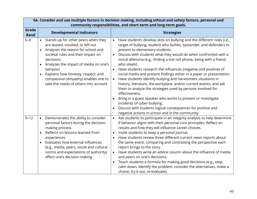| 5A. Consider and use multiple factors in decision making, including ethical and safety factors, personal and<br>community responsibilities, and short-term and long-term goals. |                                                                                                                                                                                                                                                                                                                                                                        |                                                                                                                                                                                                                                                                                                                                                                                                                                                                                                                                                                                                                                                                                                                                                                                                                                                                                                                                                                          |  |
|---------------------------------------------------------------------------------------------------------------------------------------------------------------------------------|------------------------------------------------------------------------------------------------------------------------------------------------------------------------------------------------------------------------------------------------------------------------------------------------------------------------------------------------------------------------|--------------------------------------------------------------------------------------------------------------------------------------------------------------------------------------------------------------------------------------------------------------------------------------------------------------------------------------------------------------------------------------------------------------------------------------------------------------------------------------------------------------------------------------------------------------------------------------------------------------------------------------------------------------------------------------------------------------------------------------------------------------------------------------------------------------------------------------------------------------------------------------------------------------------------------------------------------------------------|--|
| Grade<br><b>Band</b>                                                                                                                                                            | <b>Developmental Indicators</b>                                                                                                                                                                                                                                                                                                                                        | <b>Strategies</b>                                                                                                                                                                                                                                                                                                                                                                                                                                                                                                                                                                                                                                                                                                                                                                                                                                                                                                                                                        |  |
| $6 - 8$                                                                                                                                                                         | Stands up for other peers when they<br>are teased, insulted, or left out<br>Analyzes the reason for school and<br>$\bullet$<br>societal rules and their impact on<br>decisions<br>Analyzes the impact of media on one's<br>$\bullet$<br>behavior<br>Explains how honesty, respect, and<br>compassion (empathy) enables one to<br>take the needs of others into account | Have students develop skits on bullying and the different roles (i.e.,<br>$\bullet$<br>target of bullying, student who bullies, bystander, and defender) to<br>present to elementary students.<br>Discuss with students what they would do when confronted with a<br>$\bullet$<br>moral dilemma (e.g., finding a lost cell phone, being with a friend<br>who steals).<br>Have students research the influences (negative and positive) of<br>social media and present findings either in a paper or presentation.<br>Have students identify bullying and harassment situations in<br>$\bullet$<br>history, literature, the workplace, and/or current events, and ask<br>them to analyze the strategies used by persons involved for<br>effectiveness.<br>Bring in a guest speaker who works to prevent or investigate<br>incidents of cyber-bullying.<br>Discuss with students logical consequences for positive and<br>negative actions in school and in the community. |  |
| $9 - 12$                                                                                                                                                                        | Demonstrates the ability to consider<br>$\bullet$<br>personal factors during the decision-<br>making process<br>Reflects on lessons learned from<br>experiences<br>Evaluates how external influences<br>$\bullet$<br>(e.g., media, peers, social and cultural<br>norms and expectations of authority)<br>affect one's decision making                                  | Ask students to participate in an integrity analysis to help determine<br>$\bullet$<br>if behavior aligns with their personal core principles. Reflect on<br>results and how they will influence career choices.<br>Invite students to keep a personal journal.<br>Have students review three different current news reports about<br>the same event, comparing and contrasting the perspective each<br>report brings to the story.<br>Have students write an advice column about the influence of media<br>$\bullet$<br>and peers on one's decisions.<br>Teach students a formula for making good decisions (e.g., stop,<br>calm down, identify the problem, consider the alternatives, make a<br>choice, try it out, re-evaluate).                                                                                                                                                                                                                                     |  |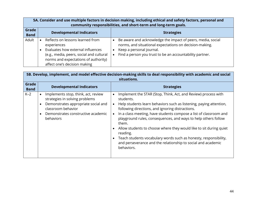| 5A. Consider and use multiple factors in decision making, including ethical and safety factors, personal and<br>community responsibilities, and short-term and long-term goals. |                                                                                                                                                                                                          |                                                                                                                                                                                                                |
|---------------------------------------------------------------------------------------------------------------------------------------------------------------------------------|----------------------------------------------------------------------------------------------------------------------------------------------------------------------------------------------------------|----------------------------------------------------------------------------------------------------------------------------------------------------------------------------------------------------------------|
| Grade<br><b>Band</b>                                                                                                                                                            | <b>Developmental Indicators</b>                                                                                                                                                                          | <b>Strategies</b>                                                                                                                                                                                              |
| Adult                                                                                                                                                                           | Reflects on lessons learned from<br>experiences<br>Evaluates how external influences<br>(e.g., media, peers, social and cultural<br>norms and expectations of authority)<br>affect one's decision making | Be aware and acknowledge the impact of peers, media, social<br>norms, and situational expectations on decision-making.<br>Keep a personal journal.<br>Find a person you trust to be an accountability partner. |

| 5B. Develop, implement, and model effective decision-making skills to deal responsibility with academic and social<br>situations. |                                                                                                                                                                                                                              |                                                                                                                                                                                                                                                                                                                                                                                                                                                                                                                                                                                                                     |  |
|-----------------------------------------------------------------------------------------------------------------------------------|------------------------------------------------------------------------------------------------------------------------------------------------------------------------------------------------------------------------------|---------------------------------------------------------------------------------------------------------------------------------------------------------------------------------------------------------------------------------------------------------------------------------------------------------------------------------------------------------------------------------------------------------------------------------------------------------------------------------------------------------------------------------------------------------------------------------------------------------------------|--|
| Grade<br><b>Band</b>                                                                                                              | <b>Developmental Indicators</b>                                                                                                                                                                                              | <b>Strategies</b>                                                                                                                                                                                                                                                                                                                                                                                                                                                                                                                                                                                                   |  |
| $K-2$                                                                                                                             | Implements stop, think, act, review<br>$\bullet$<br>strategies in solving problems<br>Demonstrates appropriate social and<br>$\bullet$<br>classroom behavior<br>Demonstrates constructive academic<br>$\bullet$<br>behaviors | Implement the STAR (Stop, Think, Act, and Review) process with<br>students.<br>Help students learn behaviors such as listening, paying attention,<br>$\bullet$<br>following directions, and ignoring distractions.<br>In a class meeting, have students compose a list of classroom and<br>$\bullet$<br>playground rules, consequences, and ways to help others follow<br>them.<br>Allow students to choose where they would like to sit during quiet<br>reading.<br>Teach students vocabulary words such as honesty, responsibility,<br>and perseverance and the relationship to social and academic<br>behaviors. |  |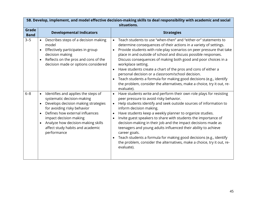| 5B. Develop, implement, and model effective decision-making skills to deal responsibility with academic and social<br>situations. |                                                                                                                                                                                                                                                                                                                                                   |                                                  |                                                                                                                                                                                                                                                                                                                                                                                                                                                                                                                                                                                                                                                              |
|-----------------------------------------------------------------------------------------------------------------------------------|---------------------------------------------------------------------------------------------------------------------------------------------------------------------------------------------------------------------------------------------------------------------------------------------------------------------------------------------------|--------------------------------------------------|--------------------------------------------------------------------------------------------------------------------------------------------------------------------------------------------------------------------------------------------------------------------------------------------------------------------------------------------------------------------------------------------------------------------------------------------------------------------------------------------------------------------------------------------------------------------------------------------------------------------------------------------------------------|
| Grade<br><b>Band</b>                                                                                                              | <b>Developmental Indicators</b>                                                                                                                                                                                                                                                                                                                   |                                                  | <b>Strategies</b>                                                                                                                                                                                                                                                                                                                                                                                                                                                                                                                                                                                                                                            |
| $3 - 5$                                                                                                                           | Describes steps of a decision making<br>$\bullet$<br>model<br>Effectively participates in group<br>decision making<br>Reflects on the pros and cons of the<br>decision made or options considered                                                                                                                                                 | $\bullet$<br>$\bullet$<br>$\bullet$              | Teach students to use "when-then" and "either-or" statements to<br>determine consequences of their actions in a variety of settings.<br>Provide students with role-play scenarios on peer pressure that take<br>place in and outside of school and discuss possible responses.<br>Discuss consequences of making both good and poor choices in a<br>workplace setting.<br>Have students create a chart of the pros and cons of either a<br>personal decision or a classroom/school decision.<br>Teach students a formula for making good decisions (e.g., identify<br>the problem, consider the alternatives, make a choice, try it out, re-<br>evaluate).   |
| $6 - 8$                                                                                                                           | Identifies and applies the steps of<br>$\bullet$<br>systematic decision-making<br>Develops decision making strategies<br>$\bullet$<br>for avoiding risky behavior<br>Defines how external influences<br>$\bullet$<br>impact decision making<br>Analyze how decision-making skills<br>$\bullet$<br>affect study habits and academic<br>performance | $\bullet$<br>$\bullet$<br>$\bullet$<br>$\bullet$ | Have students write and perform their own role plays for resisting<br>peer pressure to avoid risky behavior.<br>Help students identify and seek outside sources of information to<br>inform decision making.<br>Have students keep a weekly planner to organize studies.<br>Invite guest speakers to share with students the importance of<br>decision-making in their job and the impact decisions made as<br>teenagers and young adults influenced their ability to achieve<br>career goals.<br>Teach students a formula for making good decisions (e.g., identify<br>the problem, consider the alternatives, make a choice, try it out, re-<br>evaluate). |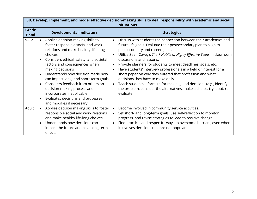| 5B. Develop, implement, and model effective decision-making skills to deal responsibility with academic and social<br>situations. |                                                                                                                                                                                                                                                                                                                                                                                                                                                                                                                       |                                                                                                                                                                                                                                                                                                                                                                                                                                                                                                                                                                                                                                                                                                     |
|-----------------------------------------------------------------------------------------------------------------------------------|-----------------------------------------------------------------------------------------------------------------------------------------------------------------------------------------------------------------------------------------------------------------------------------------------------------------------------------------------------------------------------------------------------------------------------------------------------------------------------------------------------------------------|-----------------------------------------------------------------------------------------------------------------------------------------------------------------------------------------------------------------------------------------------------------------------------------------------------------------------------------------------------------------------------------------------------------------------------------------------------------------------------------------------------------------------------------------------------------------------------------------------------------------------------------------------------------------------------------------------------|
| Grade<br><b>Band</b>                                                                                                              | <b>Developmental Indicators</b>                                                                                                                                                                                                                                                                                                                                                                                                                                                                                       | <b>Strategies</b>                                                                                                                                                                                                                                                                                                                                                                                                                                                                                                                                                                                                                                                                                   |
| $9 - 12$                                                                                                                          | • Applies decision-making skills to<br>foster responsible social and work<br>relations and make healthy life-long<br>choices<br>Considers ethical, safety, and societal<br>factors and consequences when<br>making decisions<br>Understands how decision made now<br>$\bullet$<br>can impact long- and short-term goals<br>Considers feedback from others on<br>$\bullet$<br>decision-making process and<br>incorporates if applicable<br>Evaluates decisions and processes<br>$\bullet$<br>and modifies if necessary | Discuss with students the connection between their academics and<br>$\bullet$<br>future life goals. Evaluate their postsecondary plan to align to<br>postsecondary and career goals.<br>Utilize Sean Covey's The 7 Habits of Highly Effective Teens in classroom<br>discussions and lessons.<br>Provide planners for students to meet deadlines, goals, etc.<br>Have students' interview professionals in a field of interest for a<br>short paper on why they entered that profession and what<br>decisions they have to make daily.<br>Teach students a formula for making good decisions (e.g., identify<br>the problem, consider the alternatives, make a choice, try it out, re-<br>evaluate). |
| Adult                                                                                                                             | Applies decision making skills to foster<br>$\bullet$<br>responsible social and work relations<br>and make healthy life-long choices<br>Understands how decisions can<br>$\bullet$<br>impact the future and have long-term<br>effects                                                                                                                                                                                                                                                                                 | Become involved in community service activities.<br>$\bullet$<br>Set short- and long-term goals, use self-reflection to monitor<br>$\bullet$<br>progress, and revise strategies to lead to positive change.<br>Find practical and respectful ways to overcome barriers, even when<br>it involves decisions that are not popular.                                                                                                                                                                                                                                                                                                                                                                    |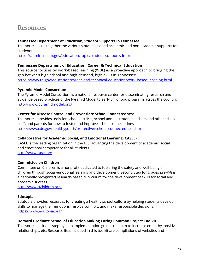# <span id="page-46-0"></span>**Resources**

#### **Tennessee Department of Education, Student Supports in Tennessee**

This source pulls together the various state-developed academic and non-academic supports for students.

<https://admincms.tn.gov/education/topic/student-supports-in-tn>

#### **Tennessee Department of Education, Career & Technical Education**

This source focuses on work-based learning (WBL) as a proactive approach to bridging the gap between high school and high-demand, high-skills in Tennessee. <https://www.tn.gov/education/career-and-technical-education/work-based-learning.html>

#### **Pyramid Model Consortium**

The Pyramid Model Consortium is a national resource center for disseminating research and evidence-based practices of the Pyramid Model to early childhood programs across the country. <http://www.pyramidmodel.org/>

#### **Center for Disease Control and Prevention: School Connectedness**

This source provides tools for school districts, school administrators, teachers and other school staff, and parents for how to foster and improve school connectedness. [http://www.cdc.gov/healthyyouth/protective/school\\_connectedness.htm](http://www.cdc.gov/healthyyouth/protective/school_connectedness.htm)

#### **Collaborative for Academic, Social, and Emotional Learning (CASEL)**

CASEL is the leading organization in the U.S. advancing the development of academic, social, and emotional competence for all students. [http://www.casel.org](http://www.casel.org/)

#### **Committee on Children**

Committee on Children is a nonprofit dedicated to fostering the safety and well-being of children through social-emotional learning and development. Second Step for grades pre-K-8 is a nationally recognized research-based curriculum for the development of skills for social and academic success.

<http://www.cfchildren.org/>

#### **Edutopia**

Edutopia provides resources for creating a healthy school culture by helping students develop skills to manage their emotions, resolve conflicts, and make responsible decisions. <https://www.edutopia.org/>

#### **Harvard Graduate School of Education Making Caring Common Project Toolkit**

This source includes step-by-step implementation guides that aim to increase empathy, positive relationships, etc. Resource lists included in this toolkit are compilations of websites and